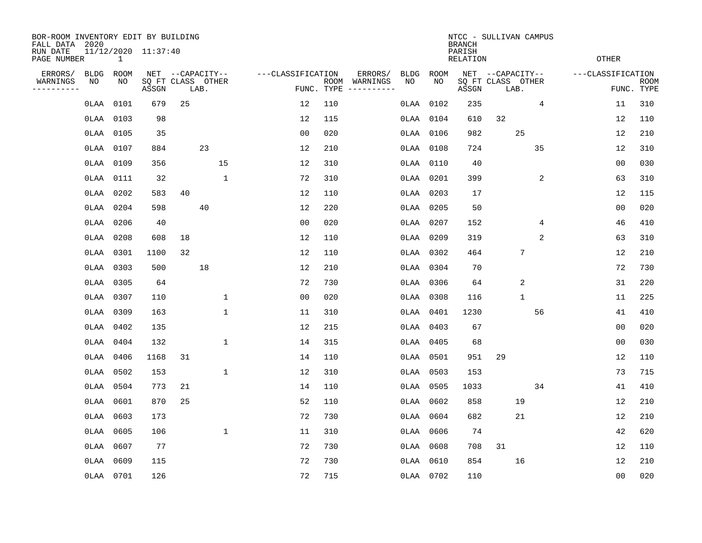| BOR-ROOM INVENTORY EDIT BY BUILDING<br>FALL DATA 2020 |             |           |                            |                  |      |              |                   |            |                              |       |           | <b>BRANCH</b>             | NTCC - SULLIVAN CAMPUS    |                 |                   |                           |
|-------------------------------------------------------|-------------|-----------|----------------------------|------------------|------|--------------|-------------------|------------|------------------------------|-------|-----------|---------------------------|---------------------------|-----------------|-------------------|---------------------------|
| RUN DATE<br>PAGE NUMBER                               |             | 1         | 11/12/2020 11:37:40        |                  |      |              |                   |            |                              |       |           | PARISH<br><b>RELATION</b> |                           |                 | OTHER             |                           |
| ERRORS/                                               | <b>BLDG</b> | ROOM      |                            | NET --CAPACITY-- |      |              | ---CLASSIFICATION |            | ERRORS/                      | BLDG  | ROOM      |                           | NET --CAPACITY--          |                 | ---CLASSIFICATION |                           |
| WARNINGS<br>----------                                | NO          | NO        | SQ FT CLASS OTHER<br>ASSGN |                  | LAB. |              |                   | FUNC. TYPE | ROOM WARNINGS<br>----------- | NO    | NO        | ASSGN                     | SQ FT CLASS OTHER<br>LAB. |                 |                   | <b>ROOM</b><br>FUNC. TYPE |
|                                                       | OLAA        | 0101      | 679                        | 25               |      |              | 12                | 110        |                              | 0LAA  | 0102      | 235                       |                           | $\overline{4}$  | 11                | 310                       |
|                                                       | OLAA        | 0103      | 98                         |                  |      |              | 12                | 115        |                              | OLAA  | 0104      | 610                       | 32                        |                 | 12                | 110                       |
|                                                       |             | 0LAA 0105 | 35                         |                  |      |              | 0 <sub>0</sub>    | 020        |                              |       | 0LAA 0106 | 982                       |                           | 25              | 12                | 210                       |
|                                                       |             | 0LAA 0107 | 884                        |                  | 23   |              | 12                | 210        |                              |       | 0LAA 0108 | 724                       |                           | 35              | 12                | 310                       |
|                                                       |             | 0LAA 0109 | 356                        |                  |      | 15           | 12                | 310        |                              |       | 0LAA 0110 | 40                        |                           |                 | 0 <sub>0</sub>    | 030                       |
|                                                       |             | 0LAA 0111 | 32                         |                  |      | 1            | 72                | 310        |                              |       | 0LAA 0201 | 399                       |                           | 2               | 63                | 310                       |
|                                                       | OLAA        | 0202      | 583                        | 40               |      |              | 12                | 110        |                              |       | 0LAA 0203 | 17                        |                           |                 | 12                | 115                       |
|                                                       | OLAA        | 0204      | 598                        |                  | 40   |              | 12                | 220        |                              |       | 0LAA 0205 | 50                        |                           |                 | 0 <sub>0</sub>    | 020                       |
|                                                       |             | 0LAA 0206 | 40                         |                  |      |              | 0 <sub>0</sub>    | 020        |                              |       | 0LAA 0207 | 152                       |                           | 4               | 46                | 410                       |
|                                                       |             | 0LAA 0208 | 608                        | 18               |      |              | 12                | 110        |                              |       | 0LAA 0209 | 319                       |                           | 2               | 63                | 310                       |
|                                                       |             | 0LAA 0301 | 1100                       | 32               |      |              | 12                | 110        |                              |       | 0LAA 0302 | 464                       |                           | $7\phantom{.0}$ | 12                | 210                       |
|                                                       |             | OLAA 0303 | 500                        |                  | 18   |              | 12                | 210        |                              |       | OLAA 0304 | 70                        |                           |                 | 72                | 730                       |
|                                                       |             | OLAA 0305 | 64                         |                  |      |              | 72                | 730        |                              | OLAA  | 0306      | 64                        |                           | $\overline{2}$  | 31                | 220                       |
|                                                       |             | 0LAA 0307 | 110                        |                  |      | $\mathbf{1}$ | 0 <sub>0</sub>    | 020        |                              |       | 0LAA 0308 | 116                       |                           | $\mathbf{1}$    | 11                | 225                       |
|                                                       | OLAA        | 0309      | 163                        |                  |      | $\mathbf 1$  | 11                | 310        |                              | OLAA  | 0401      | 1230                      |                           | 56              | 41                | 410                       |
|                                                       |             | 0LAA 0402 | 135                        |                  |      |              | 12                | 215        |                              |       | 0LAA 0403 | 67                        |                           |                 | 0 <sub>0</sub>    | 020                       |
|                                                       | OLAA        | 0404      | 132                        |                  |      | $\mathbf 1$  | 14                | 315        |                              | OLAA  | 0405      | 68                        |                           |                 | 0 <sub>0</sub>    | 030                       |
|                                                       | OLAA        | 0406      | 1168                       | 31               |      |              | 14                | 110        |                              |       | 0LAA 0501 | 951                       | 29                        |                 | 12                | 110                       |
|                                                       | OLAA        | 0502      | 153                        |                  |      | $\mathbf{1}$ | 12                | 310        |                              |       | 0LAA 0503 | 153                       |                           |                 | 73                | 715                       |
|                                                       | OLAA        | 0504      | 773                        | 21               |      |              | 14                | 110        |                              |       | 0LAA 0505 | 1033                      |                           | 34              | 41                | 410                       |
|                                                       | 0LAA        | 0601      | 870                        | 25               |      |              | 52                | 110        |                              |       | 0LAA 0602 | 858                       |                           | 19              | 12                | 210                       |
|                                                       | 0LAA        | 0603      | 173                        |                  |      |              | 72                | 730        |                              |       | 0LAA 0604 | 682                       |                           | 21              | 12                | 210                       |
|                                                       | 0LAA        | 0605      | 106                        |                  |      | $\mathbf{1}$ | 11                | 310        |                              |       | 0LAA 0606 | 74                        |                           |                 | 42                | 620                       |
|                                                       |             | 0LAA 0607 | 77                         |                  |      |              | 72                | 730        |                              |       | 0LAA 0608 | 708                       | 31                        |                 | 12                | 110                       |
|                                                       | OLAA        | 0609      | 115                        |                  |      |              | 72                | 730        |                              | 0 LAA | 0610      | 854                       |                           | 16              | 12                | 210                       |
|                                                       |             | 0LAA 0701 | 126                        |                  |      |              | 72                | 715        |                              |       | 0LAA 0702 | 110                       |                           |                 | 0 <sub>0</sub>    | 020                       |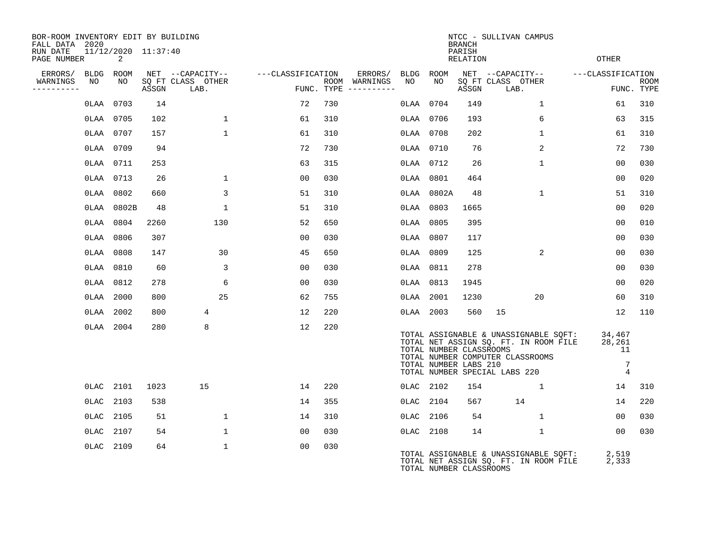| BOR-ROOM INVENTORY EDIT BY BUILDING<br>FALL DATA 2020 |                          |       |                           |                   |     |                                      |           |                                                  | <b>BRANCH</b>      | NTCC - SULLIVAN CAMPUS                                                                                                                              |                                                             |                           |
|-------------------------------------------------------|--------------------------|-------|---------------------------|-------------------|-----|--------------------------------------|-----------|--------------------------------------------------|--------------------|-----------------------------------------------------------------------------------------------------------------------------------------------------|-------------------------------------------------------------|---------------------------|
| RUN DATE<br>PAGE NUMBER                               | 11/12/2020 11:37:40<br>2 |       |                           |                   |     |                                      |           |                                                  | PARISH<br>RELATION |                                                                                                                                                     | <b>OTHER</b>                                                |                           |
| ERRORS/                                               | BLDG ROOM                |       | NET --CAPACITY--          | ---CLASSIFICATION |     | ERRORS/                              | BLDG ROOM |                                                  |                    | NET --CAPACITY--                                                                                                                                    | ---CLASSIFICATION                                           |                           |
| WARNINGS<br>NO<br>----------                          | NO                       | ASSGN | SQ FT CLASS OTHER<br>LAB. |                   |     | ROOM WARNINGS<br>FUNC. TYPE $------$ | NO        | NO                                               | ASSGN              | SQ FT CLASS OTHER<br>LAB.                                                                                                                           |                                                             | <b>ROOM</b><br>FUNC. TYPE |
|                                                       | OLAA 0703                | 14    |                           | 72                | 730 |                                      |           | 0LAA 0704                                        | 149                | $\mathbf{1}$                                                                                                                                        | 61                                                          | 310                       |
|                                                       | 0LAA 0705                | 102   | $\mathbf 1$               | 61                | 310 |                                      | 0LAA 0706 |                                                  | 193                | 6                                                                                                                                                   | 63                                                          | 315                       |
|                                                       | 0LAA 0707                | 157   | $\mathbf{1}$              | 61                | 310 |                                      |           | 0LAA 0708                                        | 202                | $\mathbf{1}$                                                                                                                                        | 61                                                          | 310                       |
|                                                       | 0LAA 0709                | 94    |                           | 72                | 730 |                                      |           | 0LAA 0710                                        | 76                 | $\overline{2}$                                                                                                                                      | 72                                                          | 730                       |
|                                                       | 0LAA 0711                | 253   |                           | 63                | 315 |                                      |           | 0LAA 0712                                        | 26                 | $\mathbf{1}$                                                                                                                                        | 00                                                          | 030                       |
|                                                       | OLAA 0713                | 26    | $\mathbf{1}$              | 0 <sub>0</sub>    | 030 |                                      | 0LAA 0801 |                                                  | 464                |                                                                                                                                                     | 00                                                          | 020                       |
|                                                       | 0LAA 0802                | 660   | 3                         | 51                | 310 |                                      |           | 0LAA 0802A                                       | 48                 | $\mathbf{1}$                                                                                                                                        | 51                                                          | 310                       |
|                                                       | 0LAA 0802B               | 48    | $\mathbf 1$               | 51                | 310 |                                      |           | 0LAA 0803                                        | 1665               |                                                                                                                                                     | 0 <sub>0</sub>                                              | 020                       |
|                                                       | 0LAA 0804                | 2260  | 130                       | 52                | 650 |                                      |           | 0LAA 0805                                        | 395                |                                                                                                                                                     | 0 <sub>0</sub>                                              | 010                       |
|                                                       | 0LAA 0806                | 307   |                           | 0 <sub>0</sub>    | 030 |                                      | 0LAA 0807 |                                                  | 117                |                                                                                                                                                     | 00                                                          | 030                       |
|                                                       | 0LAA 0808                | 147   | 30                        | 45                | 650 |                                      | 0LAA 0809 |                                                  | 125                | 2                                                                                                                                                   | 0 <sub>0</sub>                                              | 030                       |
|                                                       | 0LAA 0810                | 60    | 3                         | 0 <sub>0</sub>    | 030 |                                      | 0LAA 0811 |                                                  | 278                |                                                                                                                                                     | 0 <sub>0</sub>                                              | 030                       |
|                                                       | 0LAA 0812                | 278   | 6                         | 00                | 030 |                                      | OLAA 0813 |                                                  | 1945               |                                                                                                                                                     | 00                                                          | 020                       |
|                                                       | 0LAA 2000                | 800   | 25                        | 62                | 755 |                                      | 0LAA 2001 |                                                  | 1230               | 20                                                                                                                                                  | 60                                                          | 310                       |
|                                                       | 0LAA 2002                | 800   | 4                         | 12                | 220 |                                      |           | 0LAA 2003                                        | 560                | 15                                                                                                                                                  | 12                                                          | 110                       |
|                                                       | 0LAA 2004                | 280   | 8                         | 12                | 220 |                                      |           | TOTAL NUMBER CLASSROOMS<br>TOTAL NUMBER LABS 210 |                    | TOTAL ASSIGNABLE & UNASSIGNABLE SQFT:<br>TOTAL NET ASSIGN SQ. FT. IN ROOM FILE<br>TOTAL NUMBER COMPUTER CLASSROOMS<br>TOTAL NUMBER SPECIAL LABS 220 | 34,467<br>28,261<br>11<br>$7\phantom{.0}$<br>$\overline{4}$ |                           |
|                                                       | 0LAC 2101                | 1023  | 15                        | 14                | 220 |                                      | 0LAC 2102 |                                                  | 154                | 1                                                                                                                                                   | 14                                                          | 310                       |
|                                                       | OLAC 2103                | 538   |                           | 14                | 355 |                                      | 0LAC 2104 |                                                  | 567                | 14                                                                                                                                                  | 14                                                          | 220                       |
|                                                       | 0LAC 2105                | 51    | $\mathbf 1$               | 14                | 310 |                                      |           | 0LAC 2106                                        | 54                 | $\mathbf{1}$                                                                                                                                        | 00                                                          | 030                       |
| OLAC                                                  | 2107                     | 54    | $\mathbf 1$               | 00                | 030 |                                      | 0LAC 2108 |                                                  | 14                 | $\mathbf{1}$                                                                                                                                        | 0 <sub>0</sub>                                              | 030                       |
|                                                       | 0LAC 2109                | 64    | $\mathbf{1}$              | 0 <sub>0</sub>    | 030 |                                      |           | TOTAL NUMBER CLASSROOMS                          |                    | TOTAL ASSIGNABLE & UNASSIGNABLE SOFT:<br>TOTAL NET ASSIGN SQ. FT. IN ROOM FILE                                                                      | 2,519<br>2,333                                              |                           |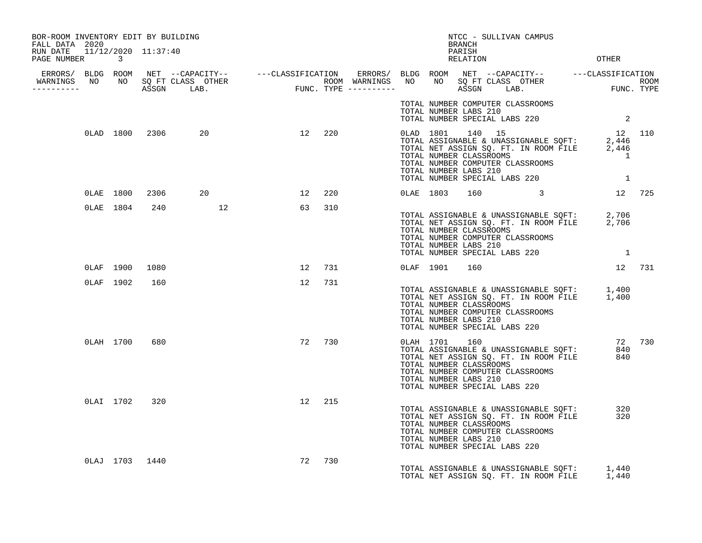| BOR-ROOM INVENTORY EDIT BY BUILDING<br>FALL DATA 2020 |           |                |                          |        |        |  |               | NTCC - SULLIVAN CAMPUS<br>BRANCH                                                                                      |                                                                                                                                                                                                                         |            |  |
|-------------------------------------------------------|-----------|----------------|--------------------------|--------|--------|--|---------------|-----------------------------------------------------------------------------------------------------------------------|-------------------------------------------------------------------------------------------------------------------------------------------------------------------------------------------------------------------------|------------|--|
| RUN DATE 11/12/2020 11:37:40<br>PAGE NUMBER 3         |           |                |                          |        |        |  |               | PARISH<br>RELATION                                                                                                    | <b>OTHER</b>                                                                                                                                                                                                            |            |  |
|                                                       |           |                |                          |        |        |  |               |                                                                                                                       |                                                                                                                                                                                                                         |            |  |
|                                                       |           |                |                          |        |        |  |               |                                                                                                                       |                                                                                                                                                                                                                         |            |  |
|                                                       |           |                |                          |        |        |  |               | TOTAL NUMBER LABS 210                                                                                                 | TOTAL NUMBER COMPUTER CLASSROOMS<br>TOTAL NUMBER SPECIAL LABS 220 2                                                                                                                                                     |            |  |
|                                                       |           |                | 0LAD 1800 2306 20 12 220 |        |        |  |               | TOTAL NUMBER LABS 210                                                                                                 | 0LAD 1801 140 15 12 110<br>TOTAL ASSIGNABLE & UNASSIGNABLE SQFT: 2,446<br>TOTAL NET ASSIGN SQ. FT. IN ROOM FILE 2,446<br>TOTAL NUMBER CLASSROOMS<br>TOTAL NUMBER COMPUTER CLASSROOMS<br>TOTAL NUMBER SPECIAL LABS 220 1 |            |  |
|                                                       |           |                | 0LAE 1800 2306 20        | 12 220 |        |  |               |                                                                                                                       | 0LAE 1803 160 3 12 725                                                                                                                                                                                                  |            |  |
|                                                       |           |                | 0LAE 1804 240 12         | 63 310 |        |  |               | TOTAL NUMBER CLASSROOMS<br>TOTAL NUMBER COMPUTER CLASSROOMS<br>TOTAL NUMBER LABS 210                                  | TOTAL ASSIGNABLE & UNASSIGNABLE SQFT: 2,706<br>TOTAL NET ASSIGN SQ. FT. IN ROOM FILE 2,706<br>TOTAL NUMBER SPECIAL LABS 220 1                                                                                           |            |  |
|                                                       |           | 0LAF 1900 1080 |                          |        | 12 731 |  | 0LAF 1901     | 160                                                                                                                   |                                                                                                                                                                                                                         | 12 731     |  |
|                                                       |           | OLAF 1902 160  |                          |        | 12 731 |  |               | TOTAL NUMBER CLASSROOMS<br>TOTAL NUMBER COMPUTER CLASSROOMS<br>TOTAL NUMBER LABS 210<br>TOTAL NUMBER SPECIAL LABS 220 | TOTAL ASSIGNABLE & UNASSIGNABLE SQFT: 1,400<br>TOTAL NET ASSIGN SQ. FT. IN ROOM FILE 1,400                                                                                                                              |            |  |
|                                                       | 0LAH 1700 | 680            |                          |        | 72 730 |  | 0LAH 1701 160 | TOTAL NUMBER CLASSROOMS<br>TOTAL NUMBER LABS 210<br>TOTAL NUMBER SPECIAL LABS 220                                     | ULAH 1701 160<br>TOTAL ASSIGNABLE & UNASSIGNABLE SQFT: 840<br>TOTAL NET ASSIGN SQ. FT. IN ROOM FILE 840<br>TOTAL NUMBER COMPUTER CLASSROOMS                                                                             | 72 730     |  |
|                                                       | 0LAI 1702 | 320            |                          |        | 12 215 |  |               | TOTAL NUMBER CLASSROOMS<br>TOTAL NUMBER COMPUTER CLASSROOMS<br>TOTAL NUMBER LABS 210<br>TOTAL NUMBER SPECIAL LABS 220 | TOTAL ASSIGNABLE & UNASSIGNABLE SQFT:<br>TOTAL NET ASSIGN SQ. FT. IN ROOM FILE                                                                                                                                          | 320<br>320 |  |
|                                                       |           | 0LAJ 1703 1440 |                          | 72     | 730    |  |               |                                                                                                                       | TOTAL ASSIGNABLE & UNASSIGNABLE SOFT: 1,440<br>TOTAL NET ASSIGN SO. FT. IN ROOM FILE                                                                                                                                    | 1,440      |  |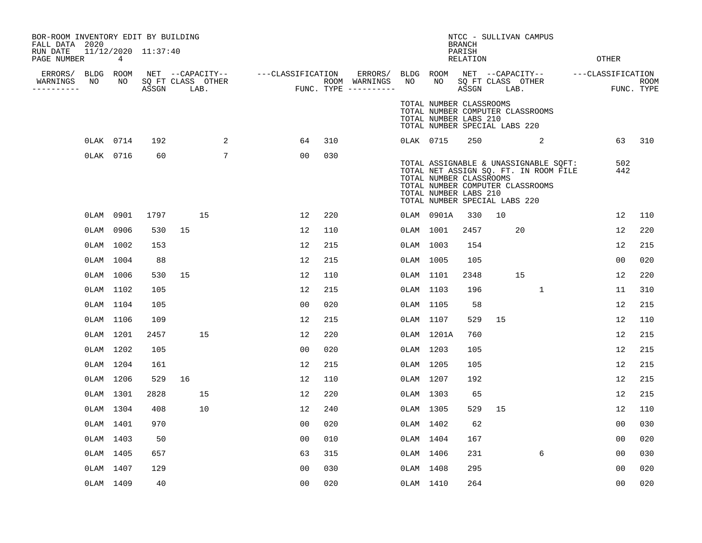| BOR-ROOM INVENTORY EDIT BY BUILDING<br>FALL DATA 2020 |             |                     |            |                 |                                                                                                                                                                                                                          |     |           |                                                                                                                                                                                                         | <b>BRANCH</b>      |    | NTCC - SULLIVAN CAMPUS |              |                |        |
|-------------------------------------------------------|-------------|---------------------|------------|-----------------|--------------------------------------------------------------------------------------------------------------------------------------------------------------------------------------------------------------------------|-----|-----------|---------------------------------------------------------------------------------------------------------------------------------------------------------------------------------------------------------|--------------------|----|------------------------|--------------|----------------|--------|
| RUN DATE<br>PAGE NUMBER                               | $4^{\circ}$ | 11/12/2020 11:37:40 |            |                 |                                                                                                                                                                                                                          |     |           |                                                                                                                                                                                                         | PARISH<br>RELATION |    |                        |              | OTHER          |        |
| ERRORS/ BLDG ROOM<br>WARNINGS<br>NO<br>----------     | NO          |                     |            |                 | NET --CAPACITY-- ----CLASSIFICATION ERRORS/BLDG ROOM NET --CAPACITY-- ----CLASSIFICATION<br>SQ FT CLASS OTHER ROOM WARNINGS NO NO SQ FT CLASS OTHER ROOM ROOM<br>ASSGN LAB. FUNC. TYPE ----------- ASSGN LAB. FUNC. TYPE |     |           |                                                                                                                                                                                                         |                    |    |                        |              |                |        |
|                                                       |             |                     |            |                 |                                                                                                                                                                                                                          |     |           | TOTAL NUMBER CLASSROOMS<br>TOTAL NUMBER COMPUTER CLASSROOMS<br>TOTAL NUMBER LABS 210<br>TOTAL NUMBER SPECIAL LABS 220                                                                                   |                    |    |                        |              |                |        |
|                                                       | 0LAK 0714   | 192                 |            | 2               | 64                                                                                                                                                                                                                       | 310 |           | 0LAK 0715                                                                                                                                                                                               |                    |    | 250 2                  |              |                | 63 310 |
|                                                       | 0LAK 0716   | 60                  |            | $7\phantom{.0}$ | 00                                                                                                                                                                                                                       | 030 |           | TOTAL ASSIGNABLE & UNASSIGNABLE SQFT:<br>TOTAL NET ASSIGN SQ. FT. IN ROOM FILE<br>TOTAL NUMBER CLASSROOMS<br>TOTAL NUMBER COMPUTER CLASSROOMS<br>TOTAL NUMBER LABS 210<br>TOTAL NUMBER SPECIAL LABS 220 |                    |    |                        |              | 502<br>442     |        |
|                                                       | 0LAM 0901   |                     | 1797<br>15 |                 | 12                                                                                                                                                                                                                       | 220 |           | 0LAM 0901A                                                                                                                                                                                              | 330                | 10 |                        |              | 12             | 110    |
|                                                       | 0LAM 0906   | 530                 | 15         |                 | 12                                                                                                                                                                                                                       | 110 |           | 0LAM 1001                                                                                                                                                                                               | 2457               |    | 20                     |              | 12             | 220    |
|                                                       | 0LAM 1002   | 153                 |            |                 | 12                                                                                                                                                                                                                       | 215 |           | 0LAM 1003                                                                                                                                                                                               | 154                |    |                        |              | 12             | 215    |
|                                                       | 0LAM 1004   | 88                  |            |                 | 12                                                                                                                                                                                                                       | 215 |           | 0LAM 1005                                                                                                                                                                                               | 105                |    |                        |              | 0 <sub>0</sub> | 020    |
|                                                       | 0LAM 1006   | 530                 | 15         |                 | 12                                                                                                                                                                                                                       | 110 |           | 0LAM 1101                                                                                                                                                                                               | 2348               |    | 15                     |              | 12             | 220    |
|                                                       | 0LAM 1102   | 105                 |            |                 | 12                                                                                                                                                                                                                       | 215 |           | OLAM 1103                                                                                                                                                                                               | 196                |    |                        | $\mathbf{1}$ | 11             | 310    |
|                                                       | OLAM 1104   | 105                 |            |                 | 00                                                                                                                                                                                                                       | 020 |           | 0LAM 1105                                                                                                                                                                                               | 58                 |    |                        |              | 12             | 215    |
|                                                       | 0LAM 1106   | 109                 |            |                 | 12                                                                                                                                                                                                                       | 215 | OLAM 1107 |                                                                                                                                                                                                         | 529                | 15 |                        |              | 12             | 110    |
|                                                       | OLAM 1201   | 2457                | 15         |                 | 12                                                                                                                                                                                                                       | 220 |           | 0LAM 1201A                                                                                                                                                                                              | 760                |    |                        |              | 12             | 215    |
|                                                       | 0LAM 1202   | 105                 |            |                 | 0 <sub>0</sub>                                                                                                                                                                                                           | 020 |           | 0LAM 1203                                                                                                                                                                                               | 105                |    |                        |              | 12             | 215    |
|                                                       | 0LAM 1204   | 161                 |            |                 | 12                                                                                                                                                                                                                       | 215 |           | 0LAM 1205                                                                                                                                                                                               | 105                |    |                        |              | 12             | 215    |
|                                                       | 0LAM 1206   | 529                 | 16         |                 | 12                                                                                                                                                                                                                       | 110 |           | 0LAM 1207                                                                                                                                                                                               | 192                |    |                        |              | 12             | 215    |
|                                                       | OLAM 1301   | 2828                | 15         |                 | 12                                                                                                                                                                                                                       | 220 |           | OLAM 1303                                                                                                                                                                                               | 65                 |    |                        |              | 12             | 215    |
|                                                       | OLAM 1304   | 408                 | 10         |                 | 12                                                                                                                                                                                                                       | 240 |           | OLAM 1305                                                                                                                                                                                               | 529                | 15 |                        |              | 12             | 110    |
|                                                       | OLAM 1401   | 970                 |            |                 | 00                                                                                                                                                                                                                       | 020 |           | 0LAM 1402                                                                                                                                                                                               | 62                 |    |                        |              | 00             | 030    |
|                                                       | 0LAM 1403   | 50                  |            |                 | 00                                                                                                                                                                                                                       | 010 |           | OLAM 1404                                                                                                                                                                                               | 167                |    |                        |              | 00             | 020    |
|                                                       | 0LAM 1405   | 657                 |            |                 | 63                                                                                                                                                                                                                       | 315 | 0LAM 1406 |                                                                                                                                                                                                         | 231                |    |                        | 6            | 00             | 030    |
|                                                       | OLAM 1407   | 129                 |            |                 | 0 <sub>0</sub>                                                                                                                                                                                                           | 030 |           | 0LAM 1408                                                                                                                                                                                               | 295                |    |                        |              | 00             | 020    |
|                                                       | 0LAM 1409   | 40                  |            |                 | 0 <sub>0</sub>                                                                                                                                                                                                           | 020 | OLAM 1410 |                                                                                                                                                                                                         | 264                |    |                        |              | 0 <sub>0</sub> | 020    |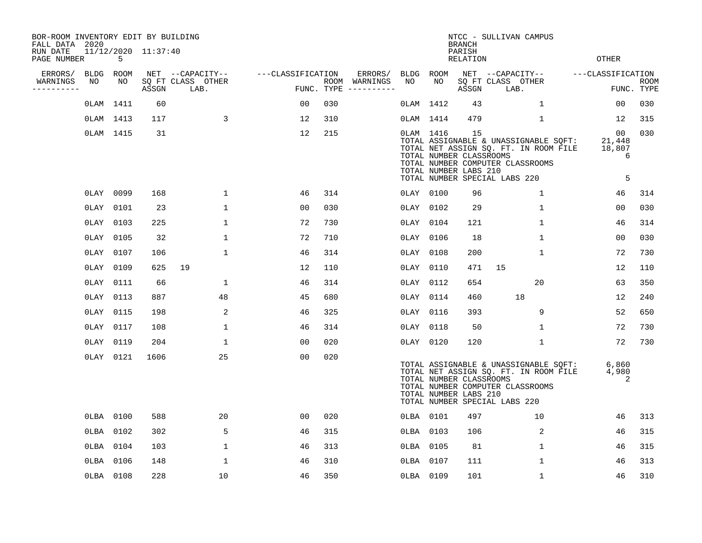| BOR-ROOM INVENTORY EDIT BY BUILDING<br>FALL DATA 2020 |           |           |                     |                           |                   |     |                                      |           |           | <b>BRANCH</b>                                          | NTCC - SULLIVAN CAMPUS                                                                                                                              |                                               |                           |
|-------------------------------------------------------|-----------|-----------|---------------------|---------------------------|-------------------|-----|--------------------------------------|-----------|-----------|--------------------------------------------------------|-----------------------------------------------------------------------------------------------------------------------------------------------------|-----------------------------------------------|---------------------------|
| RUN DATE<br>PAGE NUMBER                               |           | 5         | 11/12/2020 11:37:40 |                           |                   |     |                                      |           |           | PARISH<br>RELATION                                     |                                                                                                                                                     | <b>OTHER</b>                                  |                           |
| ERRORS/                                               |           | BLDG ROOM |                     | NET --CAPACITY--          | ---CLASSIFICATION |     | ERRORS/                              | BLDG ROOM |           |                                                        | NET --CAPACITY--                                                                                                                                    | ---CLASSIFICATION                             |                           |
| WARNINGS<br>----------                                | NO        | NO        | ASSGN               | SQ FT CLASS OTHER<br>LAB. |                   |     | ROOM WARNINGS<br>FUNC. TYPE $------$ | NO        | NO        | ASSGN                                                  | SQ FT CLASS OTHER<br>LAB.                                                                                                                           |                                               | <b>ROOM</b><br>FUNC. TYPE |
|                                                       |           | 0LAM 1411 | 60                  |                           | 00                | 030 |                                      |           | OLAM 1412 | 43                                                     | $\mathbf{1}$                                                                                                                                        | 00                                            | 030                       |
|                                                       |           | OLAM 1413 | 117                 | 3                         | 12                | 310 |                                      | OLAM 1414 |           | 479                                                    | $\mathbf 1$                                                                                                                                         | 12                                            | 315                       |
|                                                       |           | OLAM 1415 | 31                  |                           | 12                | 215 |                                      |           | OLAM 1416 | 15<br>TOTAL NUMBER CLASSROOMS<br>TOTAL NUMBER LABS 210 | TOTAL ASSIGNABLE & UNASSIGNABLE SOFT:<br>TOTAL NET ASSIGN SQ. FT. IN ROOM FILE<br>TOTAL NUMBER COMPUTER CLASSROOMS<br>TOTAL NUMBER SPECIAL LABS 220 | 00 <sub>o</sub><br>21,448<br>18,807<br>6<br>5 | 030                       |
|                                                       |           |           |                     |                           |                   |     |                                      |           |           |                                                        |                                                                                                                                                     |                                               |                           |
|                                                       |           | 0LAY 0099 | 168                 | $\mathbf 1$               | 46                | 314 |                                      | 0LAY 0100 |           | 96                                                     | $\mathbf{1}$                                                                                                                                        | 46                                            | 314                       |
|                                                       | 0LAY 0101 |           | 23                  | $\mathbf 1$               | 0 <sub>0</sub>    | 030 |                                      | 0LAY 0102 |           | 29                                                     | $\mathbf{1}$                                                                                                                                        | 0 <sub>0</sub>                                | 030<br>314                |
|                                                       | 0LAY 0103 |           | 225                 | $\mathbf 1$               | 72                | 730 |                                      | 0LAY 0104 |           | 121                                                    | $\mathbf{1}$                                                                                                                                        | 46                                            |                           |
|                                                       | 0LAY 0105 |           | 32                  | $\mathbf 1$               | 72                | 710 |                                      | 0LAY 0106 |           | 18                                                     | $\mathbf{1}$                                                                                                                                        | 00                                            | 030                       |
|                                                       | 0LAY 0107 |           | 106                 | $\mathbf{1}$              | 46                | 314 |                                      | 0LAY 0108 |           | 200                                                    | 1                                                                                                                                                   | 72                                            | 730                       |
|                                                       | 0LAY 0109 |           | 625                 | 19                        | 12                | 110 |                                      | 0LAY 0110 |           | 471                                                    | 15                                                                                                                                                  | 12                                            | 110                       |
|                                                       | 0LAY 0111 |           | 66                  | 1                         | 46                | 314 |                                      | 0LAY 0112 |           | 654                                                    | 20                                                                                                                                                  | 63                                            | 350                       |
|                                                       | OLAY 0113 |           | 887                 | 48                        | 45                | 680 |                                      | 0LAY 0114 |           | 460                                                    | 18                                                                                                                                                  | 12                                            | 240                       |
|                                                       | 0LAY 0115 |           | 198                 | 2                         | 46                | 325 |                                      | 0LAY 0116 |           | 393                                                    | 9                                                                                                                                                   | 52                                            | 650                       |
|                                                       | OLAY 0117 |           | 108                 | $\mathbf{1}$              | 46                | 314 |                                      | 0LAY 0118 |           | 50                                                     | 1                                                                                                                                                   | 72                                            | 730                       |
|                                                       | OLAY 0119 |           | 204                 | $\mathbf 1$               | 0 <sub>0</sub>    | 020 |                                      | 0LAY 0120 |           | 120                                                    | $\mathbf 1$                                                                                                                                         | 72                                            | 730                       |
|                                                       |           | 0LAY 0121 | 1606                | 25                        | 0 <sub>0</sub>    | 020 |                                      |           |           | TOTAL NUMBER CLASSROOMS<br>TOTAL NUMBER LABS 210       | TOTAL ASSIGNABLE & UNASSIGNABLE SQFT:<br>TOTAL NET ASSIGN SQ. FT. IN ROOM FILE<br>TOTAL NUMBER COMPUTER CLASSROOMS<br>TOTAL NUMBER SPECIAL LABS 220 | 6,860<br>4,980<br>2                           |                           |
|                                                       |           | 0LBA 0100 | 588                 | 20                        | 00                | 020 |                                      | OLBA 0101 |           | 497                                                    | 10                                                                                                                                                  | 46                                            | 313                       |
|                                                       |           | OLBA 0102 | 302                 | 5                         | 46                | 315 |                                      | OLBA 0103 |           | 106                                                    | 2                                                                                                                                                   | 46                                            | 315                       |
|                                                       |           | OLBA 0104 | 103                 | $\mathbf 1$               | 46                | 313 |                                      | OLBA 0105 |           | 81                                                     | $\mathbf{1}$                                                                                                                                        | 46                                            | 315                       |
|                                                       | 0LBA 0106 |           | 148                 | 1                         | 46                | 310 |                                      | 0LBA 0107 |           | 111                                                    | $\mathbf{1}$                                                                                                                                        | 46                                            | 313                       |
|                                                       | 0LBA 0108 |           | 228                 | 10                        | 46                | 350 |                                      | 0LBA 0109 |           | 101                                                    | 1                                                                                                                                                   | 46                                            | 310                       |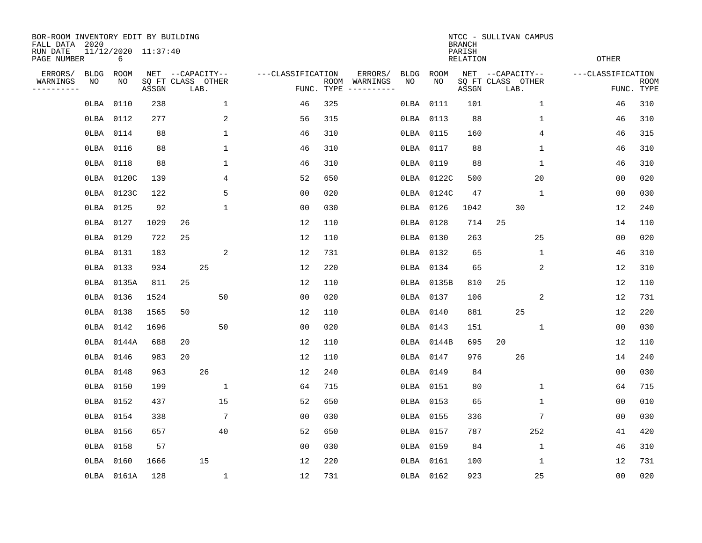| BOR-ROOM INVENTORY EDIT BY BUILDING<br>FALL DATA 2020<br>RUN DATE<br>PAGE NUMBER |                   | 11/12/2020 11:37:40<br>6 |       |    |                                               |                   |                    |                     |                   |            | <b>BRANCH</b><br>PARISH<br><b>RELATION</b> | NTCC - SULLIVAN CAMPUS                        | <b>OTHER</b>      |                           |
|----------------------------------------------------------------------------------|-------------------|--------------------------|-------|----|-----------------------------------------------|-------------------|--------------------|---------------------|-------------------|------------|--------------------------------------------|-----------------------------------------------|-------------------|---------------------------|
| ERRORS/<br>WARNINGS<br>--------                                                  | <b>BLDG</b><br>NO | ROOM<br>NO               | ASSGN |    | NET --CAPACITY--<br>SQ FT CLASS OTHER<br>LAB. | ---CLASSIFICATION | ROOM<br>FUNC. TYPE | ERRORS/<br>WARNINGS | <b>BLDG</b><br>NO | ROOM<br>NO | ASSGN                                      | NET --CAPACITY--<br>SQ FT CLASS OTHER<br>LAB. | ---CLASSIFICATION | <b>ROOM</b><br>FUNC. TYPE |
|                                                                                  | OLBA              | 0110                     | 238   |    | $\mathbf{1}$                                  | 46                | 325                |                     | OLBA              | 0111       | 101                                        | $\mathbf{1}$                                  | 46                | 310                       |
|                                                                                  | OLBA              | 0112                     | 277   |    | $\sqrt{2}$                                    | 56                | 315                |                     | OLBA              | 0113       | 88                                         | 1                                             | 46                | 310                       |
|                                                                                  | OLBA              | 0114                     | 88    |    | $\mathbf 1$                                   | 46                | 310                |                     | OLBA              | 0115       | 160                                        | 4                                             | 46                | 315                       |
|                                                                                  | OLBA              | 0116                     | 88    |    | 1                                             | 46                | 310                |                     | OLBA              | 0117       | 88                                         | $\mathbf 1$                                   | 46                | 310                       |
|                                                                                  | OLBA              | 0118                     | 88    |    | 1                                             | 46                | 310                |                     | 0LBA              | 0119       | 88                                         | 1                                             | 46                | 310                       |
|                                                                                  | 0LBA              | 0120C                    | 139   |    | 4                                             | 52                | 650                |                     | OLBA              | 0122C      | 500                                        | 20                                            | 00                | 020                       |
|                                                                                  | OLBA              | 0123C                    | 122   |    | 5                                             | 0 <sub>0</sub>    | 020                |                     | 0LBA              | 0124C      | 47                                         | $\mathbf{1}$                                  | 0 <sub>0</sub>    | 030                       |
|                                                                                  | OLBA              | 0125                     | 92    |    | 1                                             | 0 <sub>0</sub>    | 030                |                     | OLBA              | 0126       | 1042                                       | 30                                            | 12                | 240                       |
|                                                                                  | OLBA              | 0127                     | 1029  | 26 |                                               | 12                | 110                |                     | OLBA              | 0128       | 714                                        | 25                                            | 14                | 110                       |
|                                                                                  | OLBA              | 0129                     | 722   | 25 |                                               | 12                | 110                |                     | OLBA              | 0130       | 263                                        | 25                                            | 00                | 020                       |
|                                                                                  | OLBA              | 0131                     | 183   |    | 2                                             | 12                | 731                |                     | OLBA              | 0132       | 65                                         | 1                                             | 46                | 310                       |
|                                                                                  | OLBA              | 0133                     | 934   |    | 25                                            | 12                | 220                |                     | OLBA              | 0134       | 65                                         | 2                                             | 12                | 310                       |
|                                                                                  | OLBA              | 0135A                    | 811   | 25 |                                               | 12                | 110                |                     | OLBA              | 0135B      | 810                                        | 25                                            | 12                | 110                       |
|                                                                                  | 0LBA              | 0136                     | 1524  |    | 50                                            | 0 <sub>0</sub>    | 020                |                     |                   | OLBA 0137  | 106                                        | 2                                             | 12                | 731                       |
|                                                                                  | OLBA              | 0138                     | 1565  | 50 |                                               | 12                | 110                |                     |                   | 0LBA 0140  | 881                                        | 25                                            | 12                | 220                       |
|                                                                                  | 0LBA              | 0142                     | 1696  |    | 50                                            | 0 <sub>0</sub>    | 020                |                     |                   | OLBA 0143  | 151                                        | $\mathbf 1$                                   | 0 <sub>0</sub>    | 030                       |
|                                                                                  | 0LBA              | 0144A                    | 688   | 20 |                                               | 12                | 110                |                     |                   | OLBA 0144B | 695                                        | 20                                            | 12                | 110                       |
|                                                                                  | 0LBA              | 0146                     | 983   | 20 |                                               | 12                | 110                |                     | 0LBA              | 0147       | 976                                        | 26                                            | 14                | 240                       |
|                                                                                  | 0LBA              | 0148                     | 963   |    | 26                                            | 12                | 240                |                     | 0LBA              | 0149       | 84                                         |                                               | 0 <sub>0</sub>    | 030                       |
|                                                                                  | 0LBA              | 0150                     | 199   |    | $\mathbf{1}$                                  | 64                | 715                |                     |                   | OLBA 0151  | 80                                         | $\mathbf 1$                                   | 64                | 715                       |
|                                                                                  | OLBA              | 0152                     | 437   |    | 15                                            | 52                | 650                |                     |                   | 0LBA 0153  | 65                                         | $\mathbf{1}$                                  | 00                | 010                       |
|                                                                                  | OLBA              | 0154                     | 338   |    | $\sqrt{ }$                                    | 0 <sub>0</sub>    | 030                |                     |                   | OLBA 0155  | 336                                        | 7                                             | 0 <sub>0</sub>    | 030                       |
|                                                                                  | OLBA              | 0156                     | 657   |    | 40                                            | 52                | 650                |                     |                   | OLBA 0157  | 787                                        | 252                                           | 41                | 420                       |
|                                                                                  | OLBA              | 0158                     | 57    |    |                                               | 0 <sub>0</sub>    | 030                |                     | OLBA              | 0159       | 84                                         | $\mathbf 1$                                   | 46                | 310                       |
|                                                                                  | 0LBA              | 0160                     | 1666  |    | 15                                            | 12                | 220                |                     | OLBA              | 0161       | 100                                        | 1                                             | 12                | 731                       |
|                                                                                  |                   | 0LBA 0161A               | 128   |    | $\mathbf{1}$                                  | 12                | 731                |                     |                   | OLBA 0162  | 923                                        | 25                                            | 0 <sub>0</sub>    | 020                       |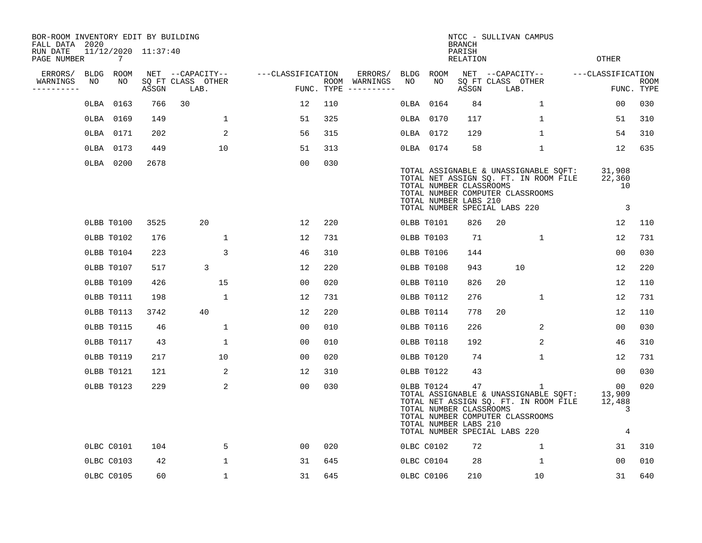| BOR-ROOM INVENTORY EDIT BY BUILDING<br>FALL DATA 2020 |    |            |                     |                           |                |                   |                |     |                                      |      |            | NTCC - SULLIVAN CAMPUS<br><b>BRANCH</b>                                                                                     |    |                           |                                                                                |                                                    |                           |
|-------------------------------------------------------|----|------------|---------------------|---------------------------|----------------|-------------------|----------------|-----|--------------------------------------|------|------------|-----------------------------------------------------------------------------------------------------------------------------|----|---------------------------|--------------------------------------------------------------------------------|----------------------------------------------------|---------------------------|
| RUN DATE<br>PAGE NUMBER                               |    | 7          | 11/12/2020 11:37:40 |                           |                |                   |                |     |                                      |      |            | PARISH<br>RELATION                                                                                                          |    |                           |                                                                                | OTHER                                              |                           |
| ERRORS/                                               |    | BLDG ROOM  |                     | NET --CAPACITY--          |                | ---CLASSIFICATION |                |     | ERRORS/                              |      | BLDG ROOM  |                                                                                                                             |    | NET --CAPACITY--          |                                                                                | ---CLASSIFICATION                                  |                           |
| WARNINGS<br>--------                                  | NO | NO         | ASSGN               | SQ FT CLASS OTHER<br>LAB. |                |                   |                |     | ROOM WARNINGS<br>FUNC. TYPE $------$ | NO   | NO         | ASSGN                                                                                                                       |    | SQ FT CLASS OTHER<br>LAB. |                                                                                |                                                    | <b>ROOM</b><br>FUNC. TYPE |
|                                                       |    | OLBA 0163  | 766                 | 30                        |                |                   | 12             | 110 |                                      | OLBA | 0164       | 84                                                                                                                          |    | 1                         |                                                                                | 0 <sub>0</sub>                                     | 030                       |
|                                                       |    | OLBA 0169  | 149                 |                           | 1              |                   | 51             | 325 |                                      |      | OLBA 0170  | 117                                                                                                                         |    | 1                         |                                                                                | 51                                                 | 310                       |
|                                                       |    | OLBA 0171  | 202                 |                           | 2              |                   | 56             | 315 |                                      |      | OLBA 0172  | 129                                                                                                                         |    |                           | $\mathbf 1$                                                                    | 54                                                 | 310                       |
|                                                       |    | OLBA 0173  | 449                 |                           | 10             |                   | 51             | 313 |                                      |      | OLBA 0174  | 58                                                                                                                          |    | $\mathbf 1$               |                                                                                | 12                                                 | 635                       |
|                                                       |    | 0LBA 0200  | 2678                |                           |                |                   | 0 <sub>0</sub> | 030 |                                      |      |            | TOTAL NUMBER CLASSROOMS<br>TOTAL NUMBER COMPUTER CLASSROOMS<br>TOTAL NUMBER LABS 210<br>TOTAL NUMBER SPECIAL LABS 220       |    |                           | TOTAL ASSIGNABLE & UNASSIGNABLE SQFT:<br>TOTAL NET ASSIGN SQ. FT. IN ROOM FILE | 31,908<br>22,360<br>10<br>$\overline{\phantom{a}}$ |                           |
|                                                       |    | OLBB T0100 | 3525                | 20                        |                |                   | 12             | 220 |                                      |      | OLBB T0101 | 826                                                                                                                         | 20 |                           |                                                                                | 12                                                 | 110                       |
|                                                       |    | OLBB T0102 | 176                 |                           | 1              |                   | 12             | 731 |                                      |      | OLBB T0103 | 71                                                                                                                          |    | $\mathbf 1$               |                                                                                | 12                                                 | 731                       |
|                                                       |    | OLBB T0104 | 223                 |                           | 3              |                   | 46             | 310 |                                      |      | OLBB T0106 | 144                                                                                                                         |    |                           |                                                                                | 00                                                 | 030                       |
|                                                       |    | OLBB T0107 | 517                 | 3                         |                |                   | 12             | 220 |                                      |      | OLBB T0108 | 943                                                                                                                         |    | 10                        |                                                                                | 12                                                 | 220                       |
|                                                       |    | OLBB T0109 | 426                 |                           | 15             |                   | 0 <sub>0</sub> | 020 |                                      |      | OLBB T0110 | 826                                                                                                                         | 20 |                           |                                                                                | 12                                                 | 110                       |
|                                                       |    | OLBB T0111 | 198                 |                           | $\mathbf{1}$   |                   | 12             | 731 |                                      |      | OLBB T0112 | 276                                                                                                                         |    | $\mathbf{1}$              |                                                                                | 12                                                 | 731                       |
|                                                       |    | OLBB T0113 | 3742                | 40                        |                |                   | 12             | 220 |                                      |      | OLBB T0114 | 778                                                                                                                         | 20 |                           |                                                                                | 12                                                 | 110                       |
|                                                       |    | OLBB T0115 | 46                  |                           | $\mathbf 1$    |                   | 0 <sub>0</sub> | 010 |                                      |      | OLBB T0116 | 226                                                                                                                         |    | 2                         |                                                                                | 0 <sub>0</sub>                                     | 030                       |
|                                                       |    | OLBB T0117 | 43                  |                           | $\mathbf 1$    |                   | 0 <sub>0</sub> | 010 |                                      |      | OLBB T0118 | 192                                                                                                                         |    |                           | 2                                                                              | 46                                                 | 310                       |
|                                                       |    | OLBB T0119 | 217                 |                           | 10             |                   | 0 <sub>0</sub> | 020 |                                      |      | OLBB T0120 | 74                                                                                                                          |    |                           | $\mathbf 1$                                                                    | 12                                                 | 731                       |
|                                                       |    | OLBB T0121 | 121                 |                           | 2              |                   | 12             | 310 |                                      |      | OLBB T0122 | 43                                                                                                                          |    |                           |                                                                                | 00                                                 | 030                       |
|                                                       |    | OLBB T0123 | 229                 |                           | $\overline{2}$ |                   | 0 <sub>0</sub> | 030 |                                      |      | OLBB T0124 | 47<br>TOTAL NUMBER CLASSROOMS<br>TOTAL NUMBER COMPUTER CLASSROOMS<br>TOTAL NUMBER LABS 210<br>TOTAL NUMBER SPECIAL LABS 220 |    | 1                         | TOTAL ASSIGNABLE & UNASSIGNABLE SQFT:<br>TOTAL NET ASSIGN SQ. FT. IN ROOM FILE | 00<br>13,909<br>12,488<br>3<br>4                   | 020                       |
|                                                       |    | OLBC C0101 | 104                 |                           | 5              |                   | 00             | 020 |                                      |      | 0LBC C0102 | 72                                                                                                                          |    | 1                         |                                                                                | 31                                                 | 310                       |
|                                                       |    | OLBC C0103 | 42                  |                           | 1              |                   | 31             | 645 |                                      |      | OLBC C0104 | 28                                                                                                                          |    | 1                         |                                                                                | 0 <sub>0</sub>                                     | 010                       |
|                                                       |    | OLBC C0105 | 60                  |                           | 1              |                   | 31             | 645 |                                      |      | OLBC C0106 | 210                                                                                                                         |    | 10                        |                                                                                | 31                                                 | 640                       |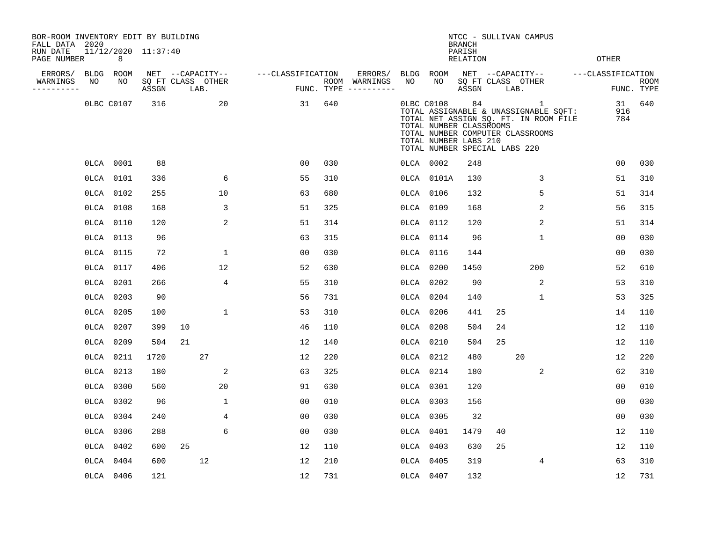| BOR-ROOM INVENTORY EDIT BY BUILDING<br>FALL DATA 2020 |    |            |                     |    |                           |                   |     |                                      |      |            | <b>BRANCH</b>                                                                           |    | NTCC - SULLIVAN CAMPUS                                                                                                  |                   |                           |
|-------------------------------------------------------|----|------------|---------------------|----|---------------------------|-------------------|-----|--------------------------------------|------|------------|-----------------------------------------------------------------------------------------|----|-------------------------------------------------------------------------------------------------------------------------|-------------------|---------------------------|
| RUN DATE<br>PAGE NUMBER                               |    | 8          | 11/12/2020 11:37:40 |    |                           |                   |     |                                      |      |            | PARISH<br><b>RELATION</b>                                                               |    |                                                                                                                         | <b>OTHER</b>      |                           |
| ERRORS/                                               |    | BLDG ROOM  |                     |    | NET --CAPACITY--          | ---CLASSIFICATION |     | ERRORS/                              | BLDG | ROOM       |                                                                                         |    | NET --CAPACITY--                                                                                                        | ---CLASSIFICATION |                           |
| WARNINGS<br>----------                                | NO | NO         | ASSGN               |    | SQ FT CLASS OTHER<br>LAB. |                   |     | ROOM WARNINGS<br>FUNC. TYPE $------$ | NO   | NO         | ASSGN                                                                                   |    | SQ FT CLASS OTHER<br>LAB.                                                                                               |                   | <b>ROOM</b><br>FUNC. TYPE |
|                                                       |    | OLBC C0107 | 316                 |    | 20                        | 31                | 640 |                                      |      | 0LBC C0108 | 84<br>TOTAL NUMBER CLASSROOMS<br>TOTAL NUMBER LABS 210<br>TOTAL NUMBER SPECIAL LABS 220 |    | 1<br>TOTAL ASSIGNABLE & UNASSIGNABLE SQFT:<br>TOTAL NET ASSIGN SQ. FT. IN ROOM FILE<br>TOTAL NUMBER COMPUTER CLASSROOMS | 31<br>916<br>784  | 640                       |
|                                                       |    | 0LCA 0001  | 88                  |    |                           | 00                | 030 |                                      |      | 0LCA 0002  | 248                                                                                     |    |                                                                                                                         | 0 <sub>0</sub>    | 030                       |
|                                                       |    | OLCA 0101  | 336                 |    | 6                         | 55                | 310 |                                      |      | 0LCA 0101A | 130                                                                                     |    | 3                                                                                                                       | 51                | 310                       |
|                                                       |    | OLCA 0102  | 255                 |    | 10                        | 63                | 680 |                                      |      | 0LCA 0106  | 132                                                                                     |    | 5                                                                                                                       | 51                | 314                       |
|                                                       |    | OLCA 0108  | 168                 |    | 3                         | 51                | 325 |                                      |      | OLCA 0109  | 168                                                                                     |    | 2                                                                                                                       | 56                | 315                       |
|                                                       |    | OLCA 0110  | 120                 |    | 2                         | 51                | 314 |                                      |      | OLCA 0112  | 120                                                                                     |    | 2                                                                                                                       | 51                | 314                       |
|                                                       |    | OLCA 0113  | 96                  |    |                           | 63                | 315 |                                      |      | OLCA 0114  | 96                                                                                      |    | $\mathbf 1$                                                                                                             | 00                | 030                       |
|                                                       |    | OLCA 0115  | 72                  |    | $\mathbf 1$               | 0 <sub>0</sub>    | 030 |                                      |      | OLCA 0116  | 144                                                                                     |    |                                                                                                                         | 0 <sub>0</sub>    | 030                       |
|                                                       |    | OLCA 0117  | 406                 |    | 12                        | 52                | 630 |                                      |      | 0LCA 0200  | 1450                                                                                    |    | 200                                                                                                                     | 52                | 610                       |
|                                                       |    | OLCA 0201  | 266                 |    | 4                         | 55                | 310 |                                      |      | 0LCA 0202  | 90                                                                                      |    | 2                                                                                                                       | 53                | 310                       |
|                                                       |    | OLCA 0203  | 90                  |    |                           | 56                | 731 |                                      |      | 0LCA 0204  | 140                                                                                     |    | 1                                                                                                                       | 53                | 325                       |
|                                                       |    | OLCA 0205  | 100                 |    | $\mathbf{1}$              | 53                | 310 |                                      |      | 0LCA 0206  | 441                                                                                     | 25 |                                                                                                                         | 14                | 110                       |
|                                                       |    | OLCA 0207  | 399                 | 10 |                           | 46                | 110 |                                      |      | OLCA 0208  | 504                                                                                     | 24 |                                                                                                                         | 12                | 110                       |
|                                                       |    | OLCA 0209  | 504                 | 21 |                           | 12                | 140 |                                      |      | 0LCA 0210  | 504                                                                                     | 25 |                                                                                                                         | 12                | 110                       |
|                                                       |    | OLCA 0211  | 1720                |    | 27                        | 12                | 220 |                                      |      | OLCA 0212  | 480                                                                                     |    | 20                                                                                                                      | 12                | 220                       |
|                                                       |    | OLCA 0213  | 180                 |    | 2                         | 63                | 325 |                                      |      | OLCA 0214  | 180                                                                                     |    | 2                                                                                                                       | 62                | 310                       |
|                                                       |    | OLCA 0300  | 560                 |    | 20                        | 91                | 630 |                                      |      | OLCA 0301  | 120                                                                                     |    |                                                                                                                         | 0 <sub>0</sub>    | 010                       |
|                                                       |    | OLCA 0302  | 96                  |    | $\mathbf{1}$              | 0 <sub>0</sub>    | 010 |                                      |      | OLCA 0303  | 156                                                                                     |    |                                                                                                                         | 0 <sub>0</sub>    | 030                       |
|                                                       |    | OLCA 0304  | 240                 |    | $\overline{4}$            | 00                | 030 |                                      |      | OLCA 0305  | 32                                                                                      |    |                                                                                                                         | 0 <sub>0</sub>    | 030                       |
|                                                       |    | OLCA 0306  | 288                 |    | 6                         | 00                | 030 |                                      |      | OLCA 0401  | 1479                                                                                    | 40 |                                                                                                                         | 12                | 110                       |
|                                                       |    | OLCA 0402  | 600                 | 25 |                           | 12                | 110 |                                      |      | OLCA 0403  | 630                                                                                     | 25 |                                                                                                                         | 12                | 110                       |
|                                                       |    | OLCA 0404  | 600                 |    | 12                        | 12                | 210 |                                      |      | 0LCA 0405  | 319                                                                                     |    | 4                                                                                                                       | 63                | 310                       |
|                                                       |    | OLCA 0406  | 121                 |    |                           | 12                | 731 |                                      |      | OLCA 0407  | 132                                                                                     |    |                                                                                                                         | 12                | 731                       |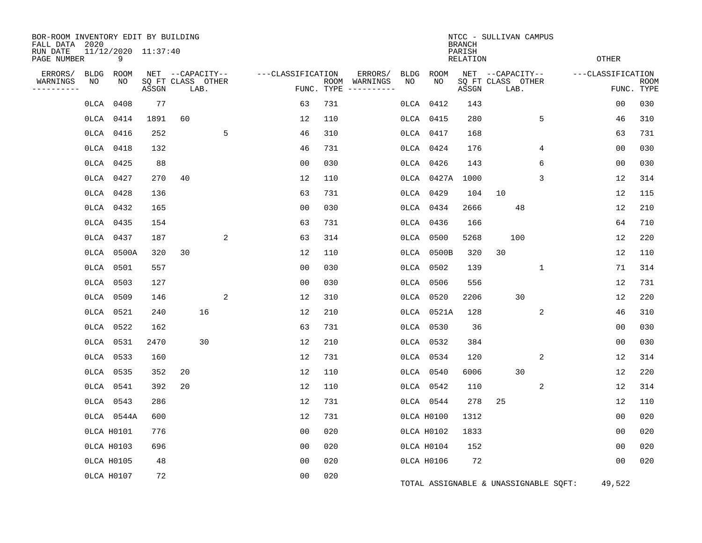| BOR-ROOM INVENTORY EDIT BY BUILDING<br>FALL DATA 2020<br>RUN DATE<br>PAGE NUMBER |                   | 11/12/2020 11:37:40<br>9 |                            |                  |      |   |                   |     |                                                 |             |             | <b>BRANCH</b><br>PARISH<br>RELATION | NTCC - SULLIVAN CAMPUS                        |                | <b>OTHER</b>      |                           |
|----------------------------------------------------------------------------------|-------------------|--------------------------|----------------------------|------------------|------|---|-------------------|-----|-------------------------------------------------|-------------|-------------|-------------------------------------|-----------------------------------------------|----------------|-------------------|---------------------------|
| ERRORS/<br>WARNINGS<br>. <u>.</u>                                                | <b>BLDG</b><br>NO | ROOM<br>NO               | SQ FT CLASS OTHER<br>ASSGN | NET --CAPACITY-- | LAB. |   | ---CLASSIFICATION |     | ERRORS/<br>ROOM WARNINGS<br>FUNC. TYPE $------$ | BLDG<br>NO. | ROOM<br>NO. | ASSGN                               | NET --CAPACITY--<br>SQ FT CLASS OTHER<br>LAB. |                | ---CLASSIFICATION | <b>ROOM</b><br>FUNC. TYPE |
|                                                                                  |                   | 0LCA 0408                | 77                         |                  |      |   | 63                | 731 |                                                 | OLCA        | 0412        | 143                                 |                                               |                | 0 <sub>0</sub>    | 030                       |
|                                                                                  |                   | OLCA 0414                | 1891                       | 60               |      |   | 12                | 110 |                                                 |             | OLCA 0415   | 280                                 |                                               | 5              | 46                | 310                       |
|                                                                                  |                   | OLCA 0416                | 252                        |                  |      | 5 | 46                | 310 |                                                 |             | OLCA 0417   | 168                                 |                                               |                | 63                | 731                       |
|                                                                                  |                   | OLCA 0418                | 132                        |                  |      |   | 46                | 731 |                                                 |             | OLCA 0424   | 176                                 |                                               | $\overline{4}$ | 0 <sub>0</sub>    | 030                       |
|                                                                                  |                   | OLCA 0425                | 88                         |                  |      |   | 0 <sub>0</sub>    | 030 |                                                 |             | OLCA 0426   | 143                                 |                                               | 6              | 0 <sub>0</sub>    | 030                       |
|                                                                                  |                   | OLCA 0427                | 270                        | 40               |      |   | 12                | 110 |                                                 |             | 0LCA 0427A  | 1000                                |                                               | 3              | 12                | 314                       |
|                                                                                  |                   | OLCA 0428                | 136                        |                  |      |   | 63                | 731 |                                                 |             | OLCA 0429   | 104                                 | 10                                            |                | 12                | 115                       |
|                                                                                  |                   | OLCA 0432                | 165                        |                  |      |   | 0 <sub>0</sub>    | 030 |                                                 |             | OLCA 0434   | 2666                                | 48                                            |                | 12                | 210                       |
|                                                                                  |                   | OLCA 0435                | 154                        |                  |      |   | 63                | 731 |                                                 |             | OLCA 0436   | 166                                 |                                               |                | 64                | 710                       |
|                                                                                  |                   | OLCA 0437                | 187                        |                  |      | 2 | 63                | 314 |                                                 |             | 0LCA 0500   | 5268                                | 100                                           |                | 12                | 220                       |
|                                                                                  |                   | 0LCA 0500A               | 320                        | 30               |      |   | 12                | 110 |                                                 |             | OLCA 0500B  | 320                                 | 30                                            |                | 12                | 110                       |
|                                                                                  |                   | OLCA 0501                | 557                        |                  |      |   | 00                | 030 |                                                 | OLCA        | 0502        | 139                                 |                                               | 1              | 71                | 314                       |
|                                                                                  |                   | OLCA 0503                | 127                        |                  |      |   | 0 <sub>0</sub>    | 030 |                                                 |             | 0LCA 0506   | 556                                 |                                               |                | 12                | 731                       |
|                                                                                  |                   | OLCA 0509                | 146                        |                  |      | 2 | 12                | 310 |                                                 |             | OLCA 0520   | 2206                                | 30                                            |                | 12                | 220                       |
|                                                                                  |                   | OLCA 0521                | 240                        |                  | 16   |   | 12                | 210 |                                                 |             | 0LCA 0521A  | 128                                 |                                               | 2              | 46                | 310                       |
|                                                                                  |                   | OLCA 0522                | 162                        |                  |      |   | 63                | 731 |                                                 |             | OLCA 0530   | 36                                  |                                               |                | 0 <sub>0</sub>    | 030                       |
|                                                                                  |                   | OLCA 0531                | 2470                       |                  | 30   |   | 12                | 210 |                                                 |             | OLCA 0532   | 384                                 |                                               |                | 00                | 030                       |
|                                                                                  |                   | OLCA 0533                | 160                        |                  |      |   | 12                | 731 |                                                 |             | OLCA 0534   | 120                                 |                                               | 2              | 12                | 314                       |
|                                                                                  |                   | OLCA 0535                | 352                        | 20               |      |   | 12                | 110 |                                                 |             | 0LCA 0540   | 6006                                | 30                                            |                | 12                | 220                       |
|                                                                                  |                   | OLCA 0541                | 392                        | 20               |      |   | 12                | 110 |                                                 |             | OLCA 0542   | 110                                 |                                               | 2              | 12                | 314                       |
|                                                                                  |                   | OLCA 0543                | 286                        |                  |      |   | 12                | 731 |                                                 |             | OLCA 0544   | 278                                 | 25                                            |                | 12                | 110                       |
|                                                                                  |                   | OLCA 0544A               | 600                        |                  |      |   | 12                | 731 |                                                 |             | OLCA H0100  | 1312                                |                                               |                | 0 <sub>0</sub>    | 020                       |
|                                                                                  |                   | OLCA H0101               | 776                        |                  |      |   | 0 <sub>0</sub>    | 020 |                                                 |             | OLCA H0102  | 1833                                |                                               |                | 0 <sub>0</sub>    | 020                       |
|                                                                                  |                   | OLCA H0103               | 696                        |                  |      |   | 0 <sub>0</sub>    | 020 |                                                 |             | OLCA H0104  | 152                                 |                                               |                | 0 <sub>0</sub>    | 020                       |
|                                                                                  |                   | OLCA H0105               | 48                         |                  |      |   | 0 <sub>0</sub>    | 020 |                                                 |             | OLCA H0106  | 72                                  |                                               |                | 0 <sub>0</sub>    | 020                       |
|                                                                                  |                   | OLCA H0107               | 72                         |                  |      |   | 0 <sub>0</sub>    | 020 |                                                 |             |             |                                     | TOTAL ASSIGNABLE & UNASSIGNABLE SQFT:         |                | 49,522            |                           |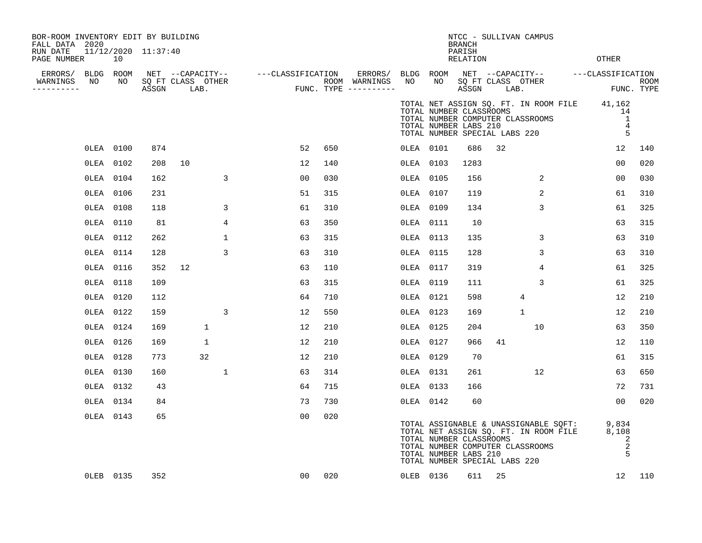| BOR-ROOM INVENTORY EDIT BY BUILDING<br>FALL DATA 2020 |           |                     |              |             |                                                                                                                                                                                                                           |     |           |                                                                                   | <b>BRANCH</b>      |    | NTCC - SULLIVAN CAMPUS           |                                                                                                           |        |
|-------------------------------------------------------|-----------|---------------------|--------------|-------------|---------------------------------------------------------------------------------------------------------------------------------------------------------------------------------------------------------------------------|-----|-----------|-----------------------------------------------------------------------------------|--------------------|----|----------------------------------|-----------------------------------------------------------------------------------------------------------|--------|
| RUN DATE<br>PAGE NUMBER                               | 10        | 11/12/2020 11:37:40 |              |             |                                                                                                                                                                                                                           |     |           |                                                                                   | PARISH<br>RELATION |    |                                  | OTHER                                                                                                     |        |
| ERRORS/ BLDG ROOM                                     |           |                     |              |             |                                                                                                                                                                                                                           |     |           |                                                                                   |                    |    |                                  |                                                                                                           |        |
| WARNINGS<br>NO<br>----------                          | NO NO     |                     |              |             | NET --CAPACITY-- ----CLASSIFICATION ERRORS/ BLDG ROOM NET --CAPACITY-- ----CLASSIFICATION<br>SQ FT CLASS OTHER ROOM WARNINGS NO NO SQ FT CLASS OTHER ROOM ROOM<br>ASSGN LAB. FUNC. TYPE ----------- ASSGN LAB. FUNC. TYPE |     |           |                                                                                   |                    |    |                                  | ROOM<br>FUNC. TYPE                                                                                        |        |
|                                                       |           |                     |              |             |                                                                                                                                                                                                                           |     |           | TOTAL NUMBER CLASSROOMS<br>TOTAL NUMBER LABS 210<br>TOTAL NUMBER SPECIAL LABS 220 |                    |    | TOTAL NUMBER COMPUTER CLASSROOMS | TOTAL NET ASSIGN SQ. FT. IN ROOM FILE 41,162<br>14<br>$\overline{1}$<br>$\overline{4}$<br>5               |        |
|                                                       | OLEA 0100 | 874                 |              |             | 52                                                                                                                                                                                                                        | 650 | OLEA 0101 |                                                                                   | 686                | 32 |                                  | 12                                                                                                        | 140    |
|                                                       | OLEA 0102 | 208                 | 10           |             | 12                                                                                                                                                                                                                        | 140 | OLEA 0103 |                                                                                   | 1283               |    |                                  | 0 <sub>0</sub>                                                                                            | 020    |
|                                                       | OLEA 0104 | 162                 |              | 3           | 00                                                                                                                                                                                                                        | 030 | OLEA 0105 |                                                                                   | 156                |    | 2                                | 0 <sub>0</sub>                                                                                            | 030    |
|                                                       | OLEA 0106 | 231                 |              |             | 51                                                                                                                                                                                                                        | 315 | OLEA 0107 |                                                                                   | 119                |    | 2                                | 61                                                                                                        | 310    |
|                                                       | OLEA 0108 | 118                 |              | 3           | 61                                                                                                                                                                                                                        | 310 | OLEA 0109 |                                                                                   | 134                |    | $\mathbf{3}$                     | 61                                                                                                        | 325    |
|                                                       | OLEA 0110 | 81                  |              | 4           | 63                                                                                                                                                                                                                        | 350 | OLEA 0111 |                                                                                   | 10                 |    |                                  | 63                                                                                                        | 315    |
|                                                       | OLEA 0112 | 262                 |              | $\mathbf 1$ | 63                                                                                                                                                                                                                        | 315 | OLEA 0113 |                                                                                   | 135                |    | 3                                | 63                                                                                                        | 310    |
|                                                       | OLEA 0114 | 128                 |              | 3           | 63                                                                                                                                                                                                                        | 310 | OLEA 0115 |                                                                                   | 128                |    | 3                                | 63                                                                                                        | 310    |
|                                                       | OLEA 0116 | 352                 | 12           |             | 63                                                                                                                                                                                                                        | 110 | OLEA 0117 |                                                                                   | 319                |    | 4                                | 61                                                                                                        | 325    |
|                                                       | OLEA 0118 | 109                 |              |             | 63                                                                                                                                                                                                                        | 315 | OLEA 0119 |                                                                                   | 111                |    | 3                                | 61                                                                                                        | 325    |
|                                                       | OLEA 0120 | 112                 |              |             | 64                                                                                                                                                                                                                        | 710 | OLEA 0121 |                                                                                   | 598                |    | 4                                | 12                                                                                                        | 210    |
|                                                       | OLEA 0122 | 159                 |              | 3           | 12                                                                                                                                                                                                                        | 550 | OLEA 0123 |                                                                                   | 169                |    | $\mathbf{1}$                     | 12                                                                                                        | 210    |
|                                                       | OLEA 0124 | 169                 | $\mathbf{1}$ |             | 12                                                                                                                                                                                                                        | 210 | OLEA 0125 |                                                                                   | 204                |    | 10                               | 63                                                                                                        | 350    |
|                                                       | OLEA 0126 | 169                 | $\mathbf 1$  |             | 12                                                                                                                                                                                                                        | 210 | OLEA 0127 |                                                                                   | 966                | 41 |                                  | 12                                                                                                        | 110    |
|                                                       | OLEA 0128 | 773                 | 32           |             | 12                                                                                                                                                                                                                        | 210 | OLEA 0129 |                                                                                   | 70                 |    |                                  | 61                                                                                                        | 315    |
|                                                       | OLEA 0130 | 160                 |              | $\mathbf 1$ | 63                                                                                                                                                                                                                        | 314 | OLEA 0131 |                                                                                   | 261                |    | 12                               | 63                                                                                                        | 650    |
|                                                       | OLEA 0132 | 43                  |              |             | 64                                                                                                                                                                                                                        | 715 | OLEA 0133 |                                                                                   | 166                |    |                                  | 72                                                                                                        | 731    |
|                                                       | OLEA 0134 | 84                  |              |             | 73                                                                                                                                                                                                                        | 730 | OLEA 0142 |                                                                                   | 60                 |    |                                  | 0 <sub>0</sub>                                                                                            | 020    |
|                                                       | OLEA 0143 | 65                  |              |             | 00                                                                                                                                                                                                                        | 020 |           | TOTAL NUMBER CLASSROOMS<br>TOTAL NUMBER LABS 210<br>TOTAL NUMBER SPECIAL LABS 220 |                    |    | TOTAL NUMBER COMPUTER CLASSROOMS | TOTAL ASSIGNABLE & UNASSIGNABLE SQFT: 9,834<br>TOTAL NET ASSIGN SQ. FT. IN ROOM FILE 8,108<br>2<br>2<br>5 |        |
|                                                       | OLEB 0135 | 352                 |              |             | 00                                                                                                                                                                                                                        | 020 | OLEB 0136 |                                                                                   | 611 25             |    |                                  |                                                                                                           | 12 110 |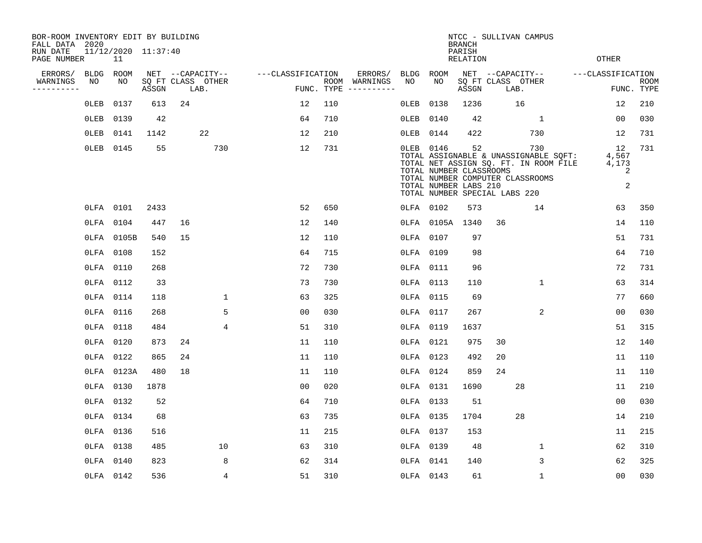| BOR-ROOM INVENTORY EDIT BY BUILDING<br>FALL DATA 2020 |             |                           |       |    |                           |                   |                |            |                              |             |                                                                                                                                    | NTCC - SULLIVAN CAMPUS<br><b>BRANCH</b> |                  |      |                                                                                |                                |                           |
|-------------------------------------------------------|-------------|---------------------------|-------|----|---------------------------|-------------------|----------------|------------|------------------------------|-------------|------------------------------------------------------------------------------------------------------------------------------------|-----------------------------------------|------------------|------|--------------------------------------------------------------------------------|--------------------------------|---------------------------|
| RUN DATE<br>PAGE NUMBER                               |             | 11/12/2020 11:37:40<br>11 |       |    |                           |                   |                |            |                              |             |                                                                                                                                    | PARISH<br><b>RELATION</b>               |                  |      |                                                                                | <b>OTHER</b>                   |                           |
| ERRORS/                                               | <b>BLDG</b> | ROOM                      |       |    | NET --CAPACITY--          | ---CLASSIFICATION |                |            | ERRORS/                      | <b>BLDG</b> | ROOM                                                                                                                               |                                         | NET --CAPACITY-- |      |                                                                                | ---CLASSIFICATION              |                           |
| WARNINGS<br>----------                                | NO          | NO                        | ASSGN |    | SQ FT CLASS OTHER<br>LAB. |                   |                | FUNC. TYPE | ROOM WARNINGS<br>----------- | NO          | NO                                                                                                                                 | SQ FT CLASS OTHER<br>ASSGN              |                  | LAB. |                                                                                |                                | <b>ROOM</b><br>FUNC. TYPE |
|                                                       | 0LEB        | 0137                      | 613   | 24 |                           |                   | 12             | 110        |                              | OLEB        | 0138                                                                                                                               | 1236                                    |                  | 16   |                                                                                | 12                             | 210                       |
|                                                       | 0LEB        | 0139                      | 42    |    |                           |                   | 64             | 710        |                              | 0LEB        | 0140                                                                                                                               | 42                                      |                  |      | $\mathbf{1}$                                                                   | 0 <sub>0</sub>                 | 030                       |
|                                                       | 0LEB        | 0141                      | 1142  |    | 22                        |                   | 12             | 210        |                              | OLEB        | 0144                                                                                                                               | 422                                     |                  | 730  |                                                                                | 12                             | 731                       |
|                                                       | 0LEB        | 0145                      | 55    |    | 730                       |                   | 12             | 731        |                              |             | OLEB 0146<br>TOTAL NUMBER CLASSROOMS<br>TOTAL NUMBER COMPUTER CLASSROOMS<br>TOTAL NUMBER LABS 210<br>TOTAL NUMBER SPECIAL LABS 220 | 52                                      |                  | 730  | TOTAL ASSIGNABLE & UNASSIGNABLE SQFT:<br>TOTAL NET ASSIGN SQ. FT. IN ROOM FILE | 12<br>4,567<br>4,173<br>2<br>2 | 731                       |
|                                                       |             | OLFA 0101                 | 2433  |    |                           |                   | 52             | 650        |                              |             | OLFA 0102                                                                                                                          | 573                                     |                  |      | 14                                                                             | 63                             | 350                       |
|                                                       | OLFA        | 0104                      | 447   | 16 |                           |                   | 12             | 140        |                              | 0LFA        |                                                                                                                                    | 0105A 1340                              | 36               |      |                                                                                | 14                             | 110                       |
|                                                       |             | OLFA 0105B                | 540   | 15 |                           |                   | 12             | 110        |                              | 0LFA 0107   |                                                                                                                                    | 97                                      |                  |      |                                                                                | 51                             | 731                       |
|                                                       |             | OLFA 0108                 | 152   |    |                           |                   | 64             | 715        |                              | OLFA        | 0109                                                                                                                               | 98                                      |                  |      |                                                                                | 64                             | 710                       |
|                                                       |             | OLFA 0110                 | 268   |    |                           |                   | 72             | 730        |                              | OLFA        | 0111                                                                                                                               | 96                                      |                  |      |                                                                                | 72                             | 731                       |
|                                                       |             | OLFA 0112                 | 33    |    |                           |                   | 73             | 730        |                              | OLFA        | 0113                                                                                                                               | 110                                     |                  |      | $\mathbf 1$                                                                    | 63                             | 314                       |
|                                                       |             | OLFA 0114                 | 118   |    | $\mathbf 1$               |                   | 63             | 325        |                              | OLFA 0115   |                                                                                                                                    | 69                                      |                  |      |                                                                                | 77                             | 660                       |
|                                                       |             | OLFA 0116                 | 268   |    | 5                         |                   | 0 <sub>0</sub> | 030        |                              | OLFA        | 0117                                                                                                                               | 267                                     |                  |      | $\overline{2}$                                                                 | 00                             | 030                       |
|                                                       |             | OLFA 0118                 | 484   |    | 4                         |                   | 51             | 310        |                              | OLFA 0119   |                                                                                                                                    | 1637                                    |                  |      |                                                                                | 51                             | 315                       |
|                                                       | OLFA        | 0120                      | 873   | 24 |                           |                   | 11             | 110        |                              | OLFA 0121   |                                                                                                                                    | 975                                     | 30               |      |                                                                                | 12                             | 140                       |
|                                                       | OLFA        | 0122                      | 865   | 24 |                           |                   | 11             | 110        |                              | OLFA 0123   |                                                                                                                                    | 492                                     | 20               |      |                                                                                | 11                             | 110                       |
|                                                       |             | OLFA 0123A                | 480   | 18 |                           |                   | 11             | 110        |                              | OLFA 0124   |                                                                                                                                    | 859                                     | 24               |      |                                                                                | 11                             | 110                       |
|                                                       | OLFA        | 0130                      | 1878  |    |                           |                   | 0 <sub>0</sub> | 020        |                              | OLFA 0131   |                                                                                                                                    | 1690                                    |                  | 28   |                                                                                | 11                             | 210                       |
|                                                       |             | OLFA 0132                 | 52    |    |                           |                   | 64             | 710        |                              |             | OLFA 0133                                                                                                                          | 51                                      |                  |      |                                                                                | 0 <sub>0</sub>                 | 030                       |
|                                                       |             | OLFA 0134                 | 68    |    |                           |                   | 63             | 735        |                              | OLFA 0135   |                                                                                                                                    | 1704                                    |                  | 28   |                                                                                | 14                             | 210                       |
|                                                       |             | OLFA 0136                 | 516   |    |                           |                   | 11             | 215        |                              | OLFA 0137   |                                                                                                                                    | 153                                     |                  |      |                                                                                | 11                             | 215                       |
|                                                       |             | OLFA 0138                 | 485   |    | 10                        |                   | 63             | 310        |                              | OLFA 0139   |                                                                                                                                    | 48                                      |                  |      | $\mathbf 1$                                                                    | 62                             | 310                       |
|                                                       | OLFA        | 0140                      | 823   |    | 8                         |                   | 62             | 314        |                              | OLFA 0141   |                                                                                                                                    | 140                                     |                  |      | 3                                                                              | 62                             | 325                       |
|                                                       |             | OLFA 0142                 | 536   |    | $\overline{4}$            |                   | 51             | 310        |                              | OLFA 0143   |                                                                                                                                    | 61                                      |                  |      | $\mathbf{1}$                                                                   | 0 <sub>0</sub>                 | 030                       |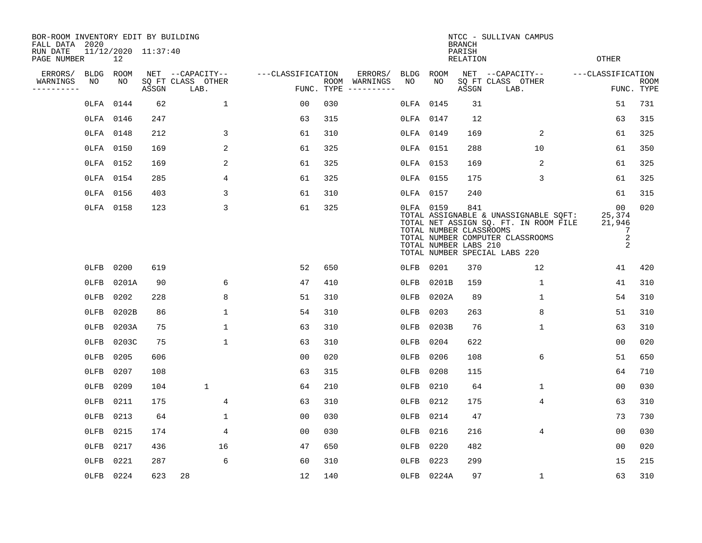| BOR-ROOM INVENTORY EDIT BY BUILDING<br>FALL DATA 2020 |           |           |                     |                           |                   |     |                                      |         |            | <b>BRANCH</b>                                           | NTCC - SULLIVAN CAMPUS                                                                                                                              |                                       |                           |
|-------------------------------------------------------|-----------|-----------|---------------------|---------------------------|-------------------|-----|--------------------------------------|---------|------------|---------------------------------------------------------|-----------------------------------------------------------------------------------------------------------------------------------------------------|---------------------------------------|---------------------------|
| RUN DATE<br>PAGE NUMBER                               |           | 12        | 11/12/2020 11:37:40 |                           |                   |     |                                      |         |            | PARISH<br>RELATION                                      |                                                                                                                                                     | <b>OTHER</b>                          |                           |
| ERRORS/                                               | BLDG ROOM |           |                     | NET --CAPACITY--          | ---CLASSIFICATION |     | ERRORS/                              |         | BLDG ROOM  |                                                         | NET --CAPACITY--                                                                                                                                    | ---CLASSIFICATION                     |                           |
| WARNINGS<br>----------                                | NO        | NO        | ASSGN               | SQ FT CLASS OTHER<br>LAB. |                   |     | ROOM WARNINGS<br>FUNC. TYPE $------$ | NO      | NO         | ASSGN                                                   | SQ FT CLASS OTHER<br>LAB.                                                                                                                           |                                       | <b>ROOM</b><br>FUNC. TYPE |
|                                                       |           | OLFA 0144 | 62                  | $\mathbf{1}$              | 00                | 030 |                                      |         | OLFA 0145  | 31                                                      |                                                                                                                                                     | 51                                    | 731                       |
|                                                       | OLFA 0146 |           | 247                 |                           | 63                | 315 |                                      |         | OLFA 0147  | 12                                                      |                                                                                                                                                     | 63                                    | 315                       |
|                                                       |           | OLFA 0148 | 212                 | 3                         | 61                | 310 |                                      |         | OLFA 0149  | 169                                                     | 2                                                                                                                                                   | 61                                    | 325                       |
|                                                       | OLFA 0150 |           | 169                 | 2                         | 61                | 325 |                                      |         | OLFA 0151  | 288                                                     | 10                                                                                                                                                  | 61                                    | 350                       |
|                                                       |           | OLFA 0152 | 169                 | 2                         | 61                | 325 |                                      |         | OLFA 0153  | 169                                                     | 2                                                                                                                                                   | 61                                    | 325                       |
|                                                       | OLFA 0154 |           | 285                 | 4                         | 61                | 325 |                                      |         | OLFA 0155  | 175                                                     | 3                                                                                                                                                   | 61                                    | 325                       |
|                                                       | OLFA 0156 |           | 403                 | 3                         | 61                | 310 |                                      |         | OLFA 0157  | 240                                                     |                                                                                                                                                     | 61                                    | 315                       |
|                                                       |           | OLFA 0158 | 123                 | 3                         | 61                | 325 |                                      |         | OLFA 0159  | 841<br>TOTAL NUMBER CLASSROOMS<br>TOTAL NUMBER LABS 210 | TOTAL ASSIGNABLE & UNASSIGNABLE SQFT:<br>TOTAL NET ASSIGN SQ. FT. IN ROOM FILE<br>TOTAL NUMBER COMPUTER CLASSROOMS<br>TOTAL NUMBER SPECIAL LABS 220 | 00<br>25,374<br>21,946<br>7<br>2<br>2 | 020                       |
|                                                       |           | 0LFB 0200 | 619                 |                           | 52                | 650 |                                      |         | OLFB 0201  | 370                                                     | 12                                                                                                                                                  | 41                                    | 420                       |
|                                                       | $0$ LFB   | 0201A     | 90                  | 6                         | 47                | 410 |                                      | $0$ LFB | 0201B      | 159                                                     | $\mathbf{1}$                                                                                                                                        | 41                                    | 310                       |
|                                                       | $0$ LFB   | 0202      | 228                 | 8                         | 51                | 310 |                                      | $0$ LFB | 0202A      | 89                                                      | $\mathbf{1}$                                                                                                                                        | 54                                    | 310                       |
|                                                       | OLFB      | 0202B     | 86                  | $\mathbf 1$               | 54                | 310 |                                      | $0$ LFB | 0203       | 263                                                     | 8                                                                                                                                                   | 51                                    | 310                       |
|                                                       | 0LFB      | 0203A     | 75                  | $\mathbf{1}$              | 63                | 310 |                                      | $0$ LFB | 0203B      | 76                                                      | $\mathbf{1}$                                                                                                                                        | 63                                    | 310                       |
|                                                       | OLFB      | 0203C     | 75                  | $\mathbf{1}$              | 63                | 310 |                                      | $0$ LFB | 0204       | 622                                                     |                                                                                                                                                     | 0 <sub>0</sub>                        | 020                       |
|                                                       | $0$ LFB   | 0205      | 606                 |                           | 0 <sub>0</sub>    | 020 |                                      | 0LFB    | 0206       | 108                                                     | 6                                                                                                                                                   | 51                                    | 650                       |
|                                                       | $0$ LFB   | 0207      | 108                 |                           | 63                | 315 |                                      | $0$ LFB | 0208       | 115                                                     |                                                                                                                                                     | 64                                    | 710                       |
|                                                       | OLFB      | 0209      | 104                 | $\mathbf 1$               | 64                | 210 |                                      | 0LFB    | 0210       | 64                                                      | 1                                                                                                                                                   | 0 <sub>0</sub>                        | 030                       |
|                                                       | $0$ LFB   | 0211      | 175                 | 4                         | 63                | 310 |                                      | $0$ LFB | 0212       | 175                                                     | 4                                                                                                                                                   | 63                                    | 310                       |
|                                                       | $0$ LFB   | 0213      | 64                  | $\mathbf 1$               | 00                | 030 |                                      | $0$ LFB | 0214       | 47                                                      |                                                                                                                                                     | 73                                    | 730                       |
|                                                       | $0$ LFB   | 0215      | 174                 | 4                         | 0 <sub>0</sub>    | 030 |                                      | $0$ LFB | 0216       | 216                                                     | 4                                                                                                                                                   | 0 <sub>0</sub>                        | 030                       |
|                                                       | OLFB 0217 |           | 436                 | 16                        | 47                | 650 |                                      | OLFB    | 0220       | 482                                                     |                                                                                                                                                     | 00                                    | 020                       |
|                                                       | $0$ LFB   | 0221      | 287                 | 6                         | 60                | 310 |                                      | OLFB    | 0223       | 299                                                     |                                                                                                                                                     | 15                                    | 215                       |
|                                                       |           | OLFB 0224 | 623                 | 28                        | 12                | 140 |                                      |         | OLFB 0224A | 97                                                      | $\mathbf{1}$                                                                                                                                        | 63                                    | 310                       |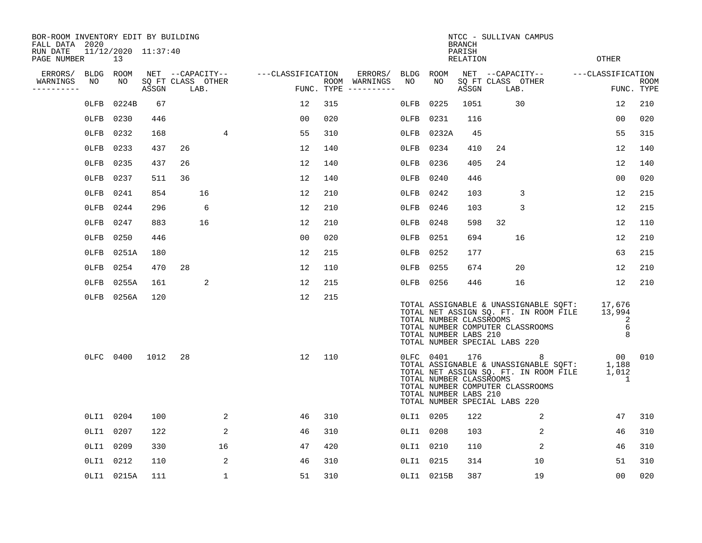| BOR-ROOM INVENTORY EDIT BY BUILDING<br>FALL DATA 2020 |           |                           |       |    |                           |                                    | NTCC - SULLIVAN CAMPUS<br><b>BRANCH</b> |     |                                      |           |                                                                                                |                    |    |                                                                                             |  |                                                                                                              |                           |
|-------------------------------------------------------|-----------|---------------------------|-------|----|---------------------------|------------------------------------|-----------------------------------------|-----|--------------------------------------|-----------|------------------------------------------------------------------------------------------------|--------------------|----|---------------------------------------------------------------------------------------------|--|--------------------------------------------------------------------------------------------------------------|---------------------------|
| RUN DATE<br>PAGE NUMBER                               |           | 11/12/2020 11:37:40<br>13 |       |    |                           |                                    |                                         |     |                                      |           |                                                                                                | PARISH<br>RELATION |    |                                                                                             |  | <b>OTHER</b>                                                                                                 |                           |
| ERRORS/                                               | BLDG      | ROOM                      |       |    |                           | NET --CAPACITY-- ---CLASSIFICATION |                                         |     | ERRORS/                              | BLDG ROOM |                                                                                                |                    |    | NET --CAPACITY--                                                                            |  | ---CLASSIFICATION                                                                                            |                           |
| WARNINGS<br>----------                                | NO        | NO                        | ASSGN |    | SQ FT CLASS OTHER<br>LAB. |                                    |                                         |     | ROOM WARNINGS<br>FUNC. TYPE $------$ | NO        | NO.                                                                                            | ASSGN              |    | SQ FT CLASS OTHER<br>LAB.                                                                   |  |                                                                                                              | <b>ROOM</b><br>FUNC. TYPE |
|                                                       | $0$ LFB   | 0224B                     | 67    |    |                           |                                    | 12                                      | 315 |                                      | $0$ LFB   | 0225                                                                                           | 1051               |    | 30                                                                                          |  | 12                                                                                                           | 210                       |
|                                                       | $0$ LFB   | 0230                      | 446   |    |                           |                                    | 00                                      | 020 |                                      | $0$ LFB   | 0231                                                                                           | 116                |    |                                                                                             |  | 00                                                                                                           | 020                       |
|                                                       | $0$ LFB   | 0232                      | 168   |    | 4                         |                                    | 55                                      | 310 |                                      | $0$ LFB   | 0232A                                                                                          | 45                 |    |                                                                                             |  | 55                                                                                                           | 315                       |
|                                                       | $0$ LFB   | 0233                      | 437   | 26 |                           |                                    | 12                                      | 140 |                                      | $0$ LFB   | 0234                                                                                           | 410                | 24 |                                                                                             |  | 12                                                                                                           | 140                       |
|                                                       | $0$ LFB   | 0235                      | 437   | 26 |                           |                                    | 12                                      | 140 |                                      | $0$ LFB   | 0236                                                                                           | 405                | 24 |                                                                                             |  | 12                                                                                                           | 140                       |
|                                                       | $0$ LFB   | 0237                      | 511   | 36 |                           |                                    | 12                                      | 140 |                                      | OLFB 0240 |                                                                                                | 446                |    |                                                                                             |  | 00                                                                                                           | 020                       |
|                                                       | $0$ LFB   | 0241                      | 854   |    | 16                        |                                    | 12                                      | 210 |                                      | OLFB      | 0242                                                                                           | 103                |    | 3                                                                                           |  | 12                                                                                                           | 215                       |
|                                                       | 0LFB      | 0244                      | 296   |    | 6                         |                                    | 12                                      | 210 |                                      | $0$ LFB   | 0246                                                                                           | 103                |    | 3                                                                                           |  | 12                                                                                                           | 215                       |
|                                                       | $0$ LFB   | 0247                      | 883   |    | 16                        |                                    | 12                                      | 210 |                                      | $0$ LFB   | 0248                                                                                           | 598                | 32 |                                                                                             |  | 12                                                                                                           | 110                       |
|                                                       | $0$ LFB   | 0250                      | 446   |    |                           |                                    | 0 <sub>0</sub>                          | 020 |                                      | OLFB 0251 |                                                                                                | 694                |    | 16                                                                                          |  | 12                                                                                                           | 210                       |
|                                                       |           | OLFB 0251A                | 180   |    |                           |                                    | 12                                      | 215 |                                      | OLFB 0252 |                                                                                                | 177                |    |                                                                                             |  | 63                                                                                                           | 215                       |
|                                                       | OLFB 0254 |                           | 470   | 28 |                           |                                    | 12                                      | 110 |                                      | OLFB 0255 |                                                                                                | 674                |    | 20                                                                                          |  | 12                                                                                                           | 210                       |
|                                                       | $0$ LFB   | 0255A                     | 161   |    | 2                         |                                    | 12                                      | 215 |                                      | OLFB 0256 |                                                                                                | 446                |    | 16                                                                                          |  | 12                                                                                                           | 210                       |
|                                                       |           | OLFB 0256A                | 120   |    |                           |                                    | 12                                      | 215 |                                      |           | TOTAL NUMBER CLASSROOMS<br>TOTAL NUMBER LABS 210<br>TOTAL NUMBER SPECIAL LABS 220              |                    |    | TOTAL NUMBER COMPUTER CLASSROOMS                                                            |  | TOTAL ASSIGNABLE & UNASSIGNABLE SQFT: 17,676<br>TOTAL NET ASSIGN SQ. FT. IN ROOM FILE 13,994<br>2<br>6<br>8  |                           |
|                                                       | OLFC 0400 |                           | 1012  | 28 |                           |                                    | 12                                      | 110 |                                      |           | OLFC 0401<br>TOTAL NUMBER CLASSROOMS<br>TOTAL NUMBER LABS 210<br>TOTAL NUMBER SPECIAL LABS 220 | 176                |    | 8 <sup>8</sup><br>TOTAL NET ASSIGN SQ. FT. IN ROOM FILE<br>TOTAL NUMBER COMPUTER CLASSROOMS |  | 00<br>TOTAL ASSIGNABLE & UNASSIGNABLE SQFT: 1,188<br>TOTAL NET ASSIGN SO FT IN ROOM FILE 1 012<br>1,012<br>1 | 010                       |
|                                                       | OLI1 0204 |                           | 100   |    | 2                         |                                    | 46                                      | 310 |                                      | OLI1 0205 |                                                                                                | 122                |    | 2                                                                                           |  | 47                                                                                                           | 310                       |
|                                                       | OLI1 0207 |                           | 122   |    | 2                         |                                    | 46                                      | 310 |                                      | OLI1 0208 |                                                                                                | 103                |    | 2                                                                                           |  | 46                                                                                                           | 310                       |
|                                                       | OLI1 0209 |                           | 330   |    | 16                        |                                    | 47                                      | 420 |                                      | OLI1 0210 |                                                                                                | 110                |    | 2                                                                                           |  | 46                                                                                                           | 310                       |
|                                                       | OLI1 0212 |                           | 110   |    | 2                         |                                    | 46                                      | 310 |                                      | OLI1 0215 |                                                                                                | 314                |    | 10                                                                                          |  | 51                                                                                                           | 310                       |
|                                                       |           | OLI1 0215A                | 111   |    | $\mathbf 1$               |                                    | 51                                      | 310 |                                      |           | OLI1 0215B                                                                                     | 387                |    | 19                                                                                          |  | 00                                                                                                           | 020                       |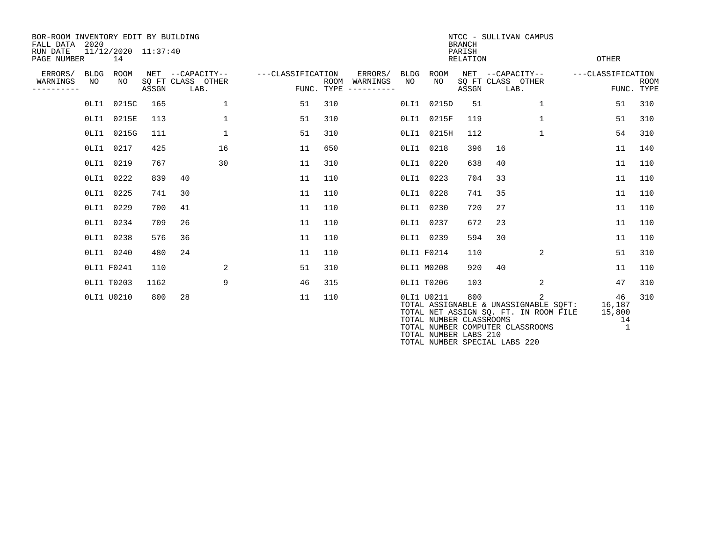| BOR-ROOM INVENTORY EDIT BY BUILDING<br>FALL DATA 2020<br>RUN DATE<br>PAGE NUMBER |                   | 11/12/2020 11:37:40<br>14 |       |                                               |                   |     |                                                 |            |                                                                | <b>BRANCH</b><br>PARISH<br><b>RELATION</b> | NTCC - SULLIVAN CAMPUS           |                                                                                                  | <b>OTHER</b>      |                                   |             |
|----------------------------------------------------------------------------------|-------------------|---------------------------|-------|-----------------------------------------------|-------------------|-----|-------------------------------------------------|------------|----------------------------------------------------------------|--------------------------------------------|----------------------------------|--------------------------------------------------------------------------------------------------|-------------------|-----------------------------------|-------------|
| ERRORS/<br>WARNINGS<br>---------                                                 | <b>BLDG</b><br>NO | ROOM<br>NO                | ASSGN | NET --CAPACITY--<br>SQ FT CLASS OTHER<br>LAB. | ---CLASSIFICATION |     | ERRORS/<br>ROOM WARNINGS<br>FUNC. TYPE $------$ | BLDG<br>NO | ROOM<br>NO                                                     | ASSGN                                      | SQ FT CLASS OTHER<br>LAB.        | NET --CAPACITY--                                                                                 | ---CLASSIFICATION | FUNC. TYPE                        | <b>ROOM</b> |
|                                                                                  |                   | 0LI1 0215C                | 165   | 1                                             | 51                | 310 |                                                 |            | OLI1 0215D                                                     | 51                                         |                                  | $\mathbf{1}$                                                                                     |                   | 51                                | 310         |
|                                                                                  |                   | OLI1 0215E                | 113   | $\mathbf{1}$                                  | 51                | 310 |                                                 |            | OLI1 0215F                                                     | 119                                        |                                  | $\mathbf{1}$                                                                                     |                   | 51                                | 310         |
|                                                                                  |                   | 0LI1 0215G                | 111   | $\mathbf{1}$                                  | 51                | 310 |                                                 | 0LI1       | 0215H                                                          | 112                                        |                                  | 1                                                                                                |                   | 54                                | 310         |
|                                                                                  |                   | OLI1 0217                 | 425   | 16                                            | 11                | 650 |                                                 | 0LI1       | 0218                                                           | 396                                        | 16                               |                                                                                                  |                   | 11                                | 140         |
|                                                                                  |                   | OLI1 0219                 | 767   | 30                                            | 11                | 310 |                                                 | 0LI1       | 0220                                                           | 638                                        | 40                               |                                                                                                  |                   | 11                                | 110         |
|                                                                                  |                   | OLI1 0222                 | 839   | 40                                            | 11                | 110 |                                                 | 0LI1       | 0223                                                           | 704                                        | 33                               |                                                                                                  |                   | 11                                | 110         |
|                                                                                  |                   | OLI1 0225                 | 741   | 30                                            | 11                | 110 |                                                 |            | OLI1 0228                                                      | 741                                        | 35                               |                                                                                                  |                   | 11                                | 110         |
|                                                                                  |                   | OLI1 0229                 | 700   | 41                                            | 11                | 110 |                                                 | $0$ LI $1$ | 0230                                                           | 720                                        | 27                               |                                                                                                  |                   | 11                                | 110         |
|                                                                                  |                   | OLI1 0234                 | 709   | 26                                            | 11                | 110 |                                                 | 0LI1       | 0237                                                           | 672                                        | 23                               |                                                                                                  |                   | 11                                | 110         |
|                                                                                  |                   | OLI1 0238                 | 576   | 36                                            | 11                | 110 |                                                 |            | OLI1 0239                                                      | 594                                        | 30                               |                                                                                                  |                   | 11                                | 110         |
|                                                                                  |                   | OLI1 0240                 | 480   | 24                                            | 11                | 110 |                                                 |            | OLI1 F0214                                                     | 110                                        |                                  | 2                                                                                                |                   | 51                                | 310         |
|                                                                                  |                   | OLI1 F0241                | 110   | $\overline{a}$                                | 51                | 310 |                                                 |            | OLI1 M0208                                                     | 920                                        | 40                               |                                                                                                  |                   | 11                                | 110         |
|                                                                                  |                   | OLI1 T0203                | 1162  | 9                                             | 46                | 315 |                                                 |            | OLI1 T0206                                                     | 103                                        |                                  | 2                                                                                                |                   | 47                                | 310         |
|                                                                                  |                   | OLI1 U0210                | 800   | 28                                            | 11                | 110 |                                                 |            | OLI1 U0211<br>TOTAL NUMBER CLASSROOMS<br>TOTAL NUMBER LABS 210 | 800                                        | TOTAL NUMBER COMPUTER CLASSROOMS | $\overline{2}$<br>TOTAL ASSIGNABLE & UNASSIGNABLE SOFT:<br>TOTAL NET ASSIGN SQ. FT. IN ROOM FILE |                   | 46<br>16,187<br>15,800<br>14<br>1 | 310         |

TOTAL NUMBER SPECIAL LABS 220